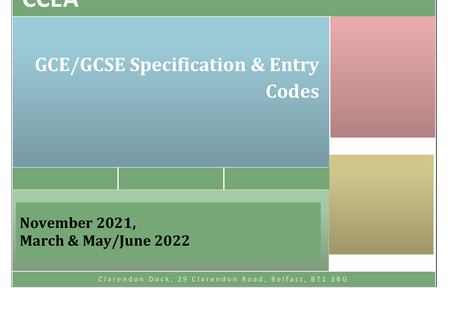### **CCEA**

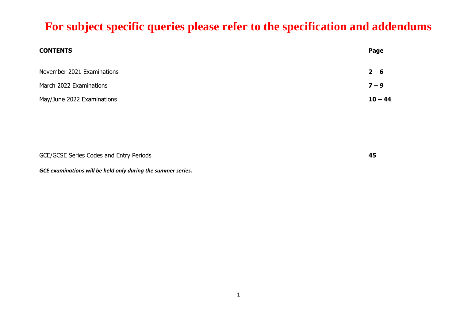| <b>CONTENTS</b>            | Page      |
|----------------------------|-----------|
| November 2021 Examinations | $2 - 6$   |
| March 2022 Examinations    | $7 - 9$   |
| May/June 2022 Examinations | $10 - 44$ |

| GCE/GCSE Series Codes and Entry Periods |  |
|-----------------------------------------|--|
|                                         |  |

*GCE examinations will be held only during the summer series.*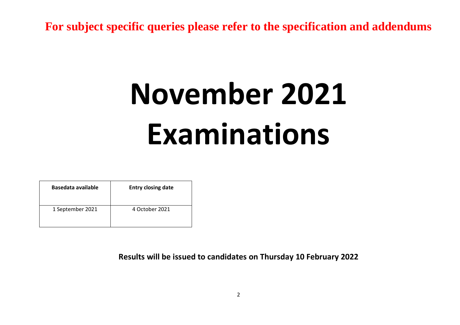## **November 2021 Examinations**

| Basedata available | <b>Entry closing date</b> |
|--------------------|---------------------------|
| 1 September 2021   | 4 October 2021            |

**Results will be issued to candidates on Thursday 10 February 2022**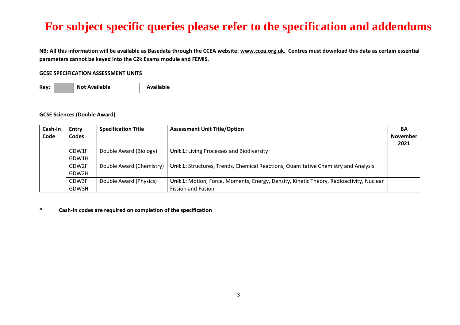**NB: All this information will be available as Basedata through the CCEA website[: www.ccea.org.uk.](http://www.ccea.org.uk/) Centres must download this data as certain essential parameters cannot be keyed into the C2k Exams module and FEMIS.**

#### **GCSE SPECIFICATION ASSESSMENT UNITS**

Key: **Not Available Not Available** 

#### **GCSE Sciences (Double Award)**

| Cash-In | Entry | <b>Specification Title</b> | <b>Assessment Unit Title/Option</b>                                                     | BA              |
|---------|-------|----------------------------|-----------------------------------------------------------------------------------------|-----------------|
| Code    | Codes |                            |                                                                                         | <b>November</b> |
|         |       |                            |                                                                                         | 2021            |
|         | GDW1F | Double Award (Biology)     | <b>Unit 1: Living Processes and Biodiversity</b>                                        |                 |
|         | GDW1H |                            |                                                                                         |                 |
|         | GDW2F | Double Award (Chemistry)   | Unit 1: Structures, Trends, Chemical Reactions, Quantitative Chemistry and Analysis     |                 |
|         | GDW2H |                            |                                                                                         |                 |
|         | GDW3F | Double Award (Physics)     | Unit 1: Motion, Force, Moments, Energy, Density, Kinetic Theory, Radioactivity, Nuclear |                 |
|         | GDW3H |                            | <b>Fission and Fusion</b>                                                               |                 |

#### **\* Cash-In codes are required on completion of the specification**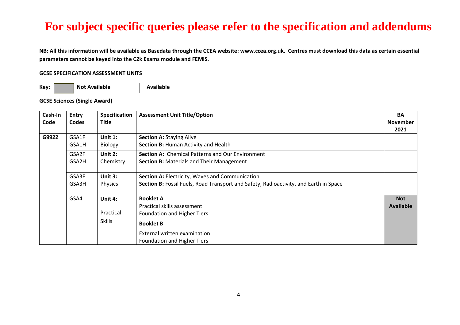**NB: All this information will be available as Basedata through the CCEA website: www.ccea.org.uk. Centres must download this data as certain essential parameters cannot be keyed into the C2k Exams module and FEMIS.**

#### **GCSE SPECIFICATION ASSESSMENT UNITS**

Key: **Not Available Not Available** 

**GCSE Sciences (Single Award)** 

| Cash-In | <b>Entry</b> | <b>Specification</b> | <b>Assessment Unit Title/Option</b>                                                   | <b>BA</b>        |
|---------|--------------|----------------------|---------------------------------------------------------------------------------------|------------------|
| Code    | <b>Codes</b> | <b>Title</b>         |                                                                                       | <b>November</b>  |
|         |              |                      |                                                                                       | 2021             |
| G9922   | GSA1F        | Unit $1:$            | <b>Section A: Staying Alive</b>                                                       |                  |
|         | GSA1H        | Biology              | Section B: Human Activity and Health                                                  |                  |
|         | GSA2F        | Unit 2:              | <b>Section A: Chemical Patterns and Our Environment</b>                               |                  |
|         | GSA2H        | Chemistry            | <b>Section B: Materials and Their Management</b>                                      |                  |
|         | GSA3F        | Unit 3:              | Section A: Electricity, Waves and Communication                                       |                  |
|         | GSA3H        | Physics              | Section B: Fossil Fuels, Road Transport and Safety, Radioactivity, and Earth in Space |                  |
|         | GSA4         | Unit 4:              | <b>Booklet A</b>                                                                      | <b>Not</b>       |
|         |              |                      | Practical skills assessment                                                           | <b>Available</b> |
|         |              | Practical            | <b>Foundation and Higher Tiers</b>                                                    |                  |
|         |              | <b>Skills</b>        | <b>Booklet B</b>                                                                      |                  |
|         |              |                      | External written examination                                                          |                  |
|         |              |                      | Foundation and Higher Tiers                                                           |                  |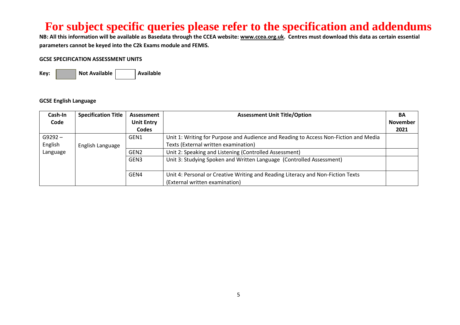**NB: All this information will be available as Basedata through the CCEA website[: www.ccea.org.uk.](http://www.ccea.org.uk/) Centres must download this data as certain essential parameters cannot be keyed into the C2k Exams module and FEMIS.**

#### **GCSE SPECIFICATION ASSESSMENT UNITS**

Key: **Not Available Available** 

#### **GCSE English Language**

| Cash-In   | <b>Specification Title</b> | Assessment        | <b>Assessment Unit Title/Option</b>                                                  | <b>BA</b>       |
|-----------|----------------------------|-------------------|--------------------------------------------------------------------------------------|-----------------|
| Code      |                            | <b>Unit Entry</b> |                                                                                      | <b>November</b> |
|           |                            | Codes             |                                                                                      | 2021            |
| $G9292 -$ |                            | GEN1              | Unit 1: Writing for Purpose and Audience and Reading to Access Non-Fiction and Media |                 |
| English   | English Language           |                   | Texts (External written examination)                                                 |                 |
| Language  |                            | GEN <sub>2</sub>  | Unit 2: Speaking and Listening (Controlled Assessment)                               |                 |
|           |                            | GEN3              | Unit 3: Studying Spoken and Written Language (Controlled Assessment)                 |                 |
|           |                            | GEN4              | Unit 4: Personal or Creative Writing and Reading Literacy and Non-Fiction Texts      |                 |
|           |                            |                   | (External written examination)                                                       |                 |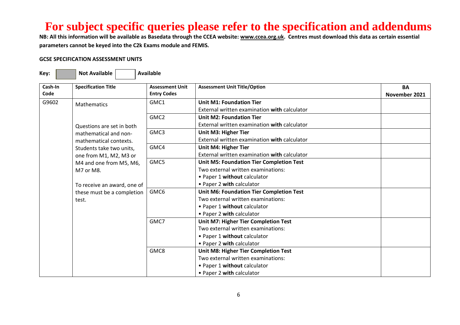**NB: All this information will be available as Basedata through the CCEA website[: www.ccea.org.uk.](http://www.ccea.org.uk/) Centres must download this data as certain essential parameters cannot be keyed into the C2k Exams module and FEMIS.**

#### **GCSE SPECIFICATION ASSESSMENT UNITS**

| Cash-In<br>Code | <b>Specification Title</b>  | <b>Assessment Unit</b><br><b>Entry Codes</b> | <b>Assessment Unit Title/Option</b>             | <b>BA</b><br>November 2021 |
|-----------------|-----------------------------|----------------------------------------------|-------------------------------------------------|----------------------------|
| G9602           | <b>Mathematics</b>          | GMC1                                         | <b>Unit M1: Foundation Tier</b>                 |                            |
|                 |                             |                                              | External written examination with calculator    |                            |
|                 |                             | GMC <sub>2</sub>                             | <b>Unit M2: Foundation Tier</b>                 |                            |
|                 | Questions are set in both   |                                              | External written examination with calculator    |                            |
|                 | mathematical and non-       | GMC3                                         | <b>Unit M3: Higher Tier</b>                     |                            |
|                 | mathematical contexts.      |                                              | External written examination with calculator    |                            |
|                 | Students take two units,    | GMC4                                         | <b>Unit M4: Higher Tier</b>                     |                            |
|                 | one from M1, M2, M3 or      |                                              | External written examination with calculator    |                            |
|                 | M4 and one from M5, M6,     | GMC5                                         | <b>Unit M5: Foundation Tier Completion Test</b> |                            |
|                 | M7 or M8.                   |                                              | Two external written examinations:              |                            |
|                 |                             |                                              | • Paper 1 without calculator                    |                            |
|                 | To receive an award, one of |                                              | • Paper 2 with calculator                       |                            |
|                 | these must be a completion  | GMC6                                         | <b>Unit M6: Foundation Tier Completion Test</b> |                            |
|                 | test.                       |                                              | Two external written examinations:              |                            |
|                 |                             |                                              | • Paper 1 without calculator                    |                            |
|                 |                             |                                              | • Paper 2 with calculator                       |                            |
|                 |                             | GMC7                                         | Unit M7: Higher Tier Completion Test            |                            |
|                 |                             |                                              | Two external written examinations:              |                            |
|                 |                             |                                              | • Paper 1 without calculator                    |                            |
|                 |                             |                                              | • Paper 2 with calculator                       |                            |
|                 |                             | GMC8                                         | <b>Unit M8: Higher Tier Completion Test</b>     |                            |
|                 |                             |                                              | Two external written examinations:              |                            |
|                 |                             |                                              | • Paper 1 without calculator                    |                            |
|                 |                             |                                              | • Paper 2 with calculator                       |                            |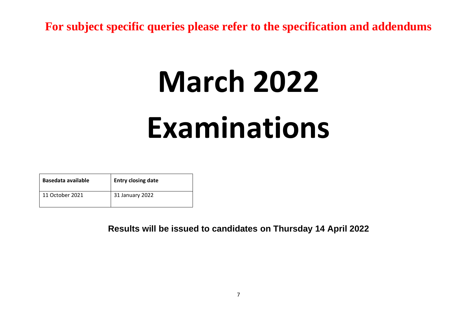# **March 2022 Examinations**

| Basedata available | <b>Entry closing date</b> |
|--------------------|---------------------------|
| 11 October 2021    | 31 January 2022           |

**Results will be issued to candidates on Thursday 14 April 2022**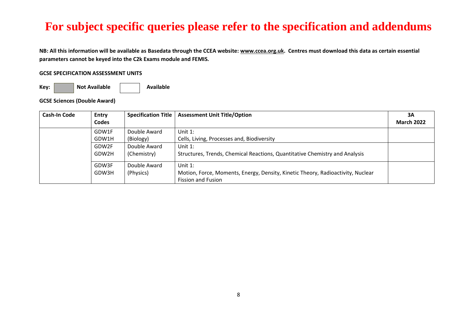**NB: All this information will be available as Basedata through the CCEA website[: www.ccea.org.uk.](http://www.ccea.org.uk/) Centres must download this data as certain essential parameters cannot be keyed into the C2k Exams module and FEMIS.**

#### **GCSE SPECIFICATION ASSESSMENT UNITS**

Key: **Not Available Not Available** 

**GCSE Sciences (Double Award)**

| Cash-In Code | <b>Entry</b> | <b>Specification Title</b> | <b>Assessment Unit Title/Option</b>                                             | 3A                |
|--------------|--------------|----------------------------|---------------------------------------------------------------------------------|-------------------|
|              | <b>Codes</b> |                            |                                                                                 | <b>March 2022</b> |
|              | GDW1F        | Double Award               | Unit 1:                                                                         |                   |
|              | GDW1H        | (Biology)                  | Cells, Living, Processes and, Biodiversity                                      |                   |
|              | GDW2F        | Double Award               | Unit 1:                                                                         |                   |
|              | GDW2H        | (Chemistry)                | Structures, Trends, Chemical Reactions, Quantitative Chemistry and Analysis     |                   |
|              | GDW3F        | Double Award               | Unit 1:                                                                         |                   |
|              | GDW3H        | (Physics)                  | Motion, Force, Moments, Energy, Density, Kinetic Theory, Radioactivity, Nuclear |                   |
|              |              |                            | <b>Fission and Fusion</b>                                                       |                   |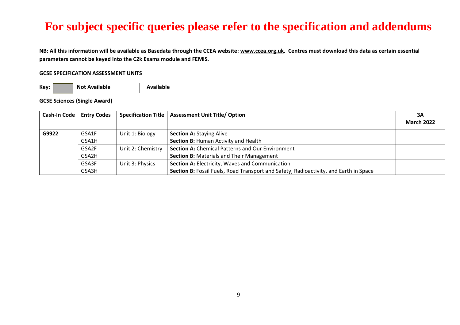**NB: All this information will be available as Basedata through the CCEA website[: www.ccea.org.uk.](http://www.ccea.org.uk/) Centres must download this data as certain essential parameters cannot be keyed into the C2k Exams module and FEMIS.**

#### **GCSE SPECIFICATION ASSESSMENT UNITS**

Key: **Not Available Not Available** 

**GCSE Sciences (Single Award)** 

| <b>Cash-In Code</b> | <b>Entry Codes</b> |                   | Specification Title   Assessment Unit Title/ Option                                   | 3A                |
|---------------------|--------------------|-------------------|---------------------------------------------------------------------------------------|-------------------|
|                     |                    |                   |                                                                                       | <b>March 2022</b> |
| G9922               | GSA1F              | Unit 1: Biology   | <b>Section A: Staying Alive</b>                                                       |                   |
|                     | GSA1H              |                   | Section B: Human Activity and Health                                                  |                   |
|                     | GSA2F              | Unit 2: Chemistry | <b>Section A: Chemical Patterns and Our Environment</b>                               |                   |
|                     | GSA2H              |                   | <b>Section B: Materials and Their Management</b>                                      |                   |
|                     | GSA3F              | Unit 3: Physics   | Section A: Electricity, Waves and Communication                                       |                   |
|                     | GSA3H              |                   | Section B: Fossil Fuels, Road Transport and Safety, Radioactivity, and Earth in Space |                   |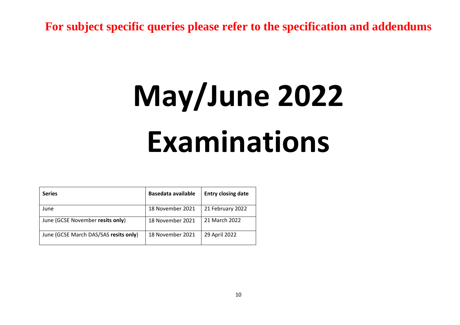## **May/June 2022 Examinations**

| <b>Series</b>                         | Basedata available | <b>Entry closing date</b> |
|---------------------------------------|--------------------|---------------------------|
| June                                  | 18 November 2021   | 21 February 2022          |
| June (GCSE November resits only)      | 18 November 2021   | 21 March 2022             |
| June (GCSE March DAS/SAS resits only) | 18 November 2021   | 29 April 2022             |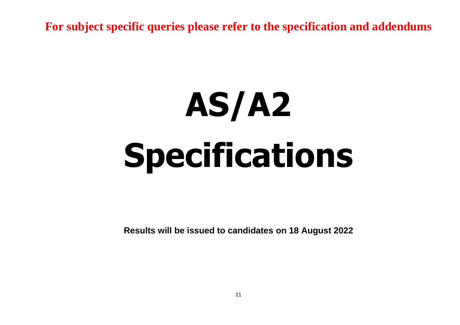# **AS/A2 Specifications**

**Results will be issued to candidates on 18 August 2022**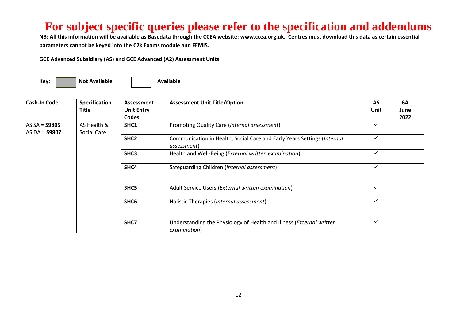**NB: All this information will be available as Basedata through the CCEA website[: www.ccea.org.uk.](http://www.ccea.org.uk/) Centres must download this data as certain essential parameters cannot be keyed into the C2k Exams module and FEMIS.**

**GCE Advanced Subsidiary (AS) and GCE Advanced (A2) Assessment Units** 

| <b>Cash-In Code</b> | Specification | Assessment        | <b>Assessment Unit Title/Option</b>                                                    | AS           | <b>6A</b> |
|---------------------|---------------|-------------------|----------------------------------------------------------------------------------------|--------------|-----------|
|                     | Title         | <b>Unit Entry</b> |                                                                                        | Unit         | June      |
|                     |               | <b>Codes</b>      |                                                                                        |              | 2022      |
| AS $SA =$ 59805     | AS Health &   | SHC1              | Promoting Quality Care (Internal assessment)                                           | $\checkmark$ |           |
| AS DA = $$9807$     | Social Care   |                   |                                                                                        | ✓            |           |
|                     |               | SHC <sub>2</sub>  | Communication in Health, Social Care and Early Years Settings (Internal<br>assessment) |              |           |
|                     |               | SHC3              | Health and Well-Being (External written examination)                                   | $\checkmark$ |           |
|                     |               | SHC4              | Safeguarding Children (Internal assessment)                                            | $\checkmark$ |           |
|                     |               | SHC5              | Adult Service Users (External written examination)                                     | $\checkmark$ |           |
|                     |               | SHC <sub>6</sub>  | Holistic Therapies (Internal assessment)                                               | ✔            |           |
|                     |               | SHC7              | Understanding the Physiology of Health and Illness (External written<br>examination)   | $\checkmark$ |           |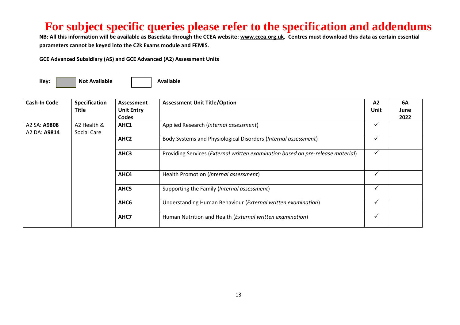**NB: All this information will be available as Basedata through the CCEA website[: www.ccea.org.uk.](http://www.ccea.org.uk/) Centres must download this data as certain essential parameters cannot be keyed into the C2k Exams module and FEMIS.**

**GCE Advanced Subsidiary (AS) and GCE Advanced (A2) Assessment Units** 

| <b>Cash-In Code</b> | Specification | Assessment        | <b>Assessment Unit Title/Option</b>                                             | A2   | 6A   |
|---------------------|---------------|-------------------|---------------------------------------------------------------------------------|------|------|
|                     | <b>Title</b>  | <b>Unit Entry</b> |                                                                                 | Unit | June |
|                     |               | <b>Codes</b>      |                                                                                 |      | 2022 |
| A2 SA: <b>A9808</b> | A2 Health &   | AHC1              | Applied Research (Internal assessment)                                          | ✔    |      |
| A2 DA: A9814        | Social Care   |                   |                                                                                 |      |      |
|                     |               | AHC <sub>2</sub>  | Body Systems and Physiological Disorders (Internal assessment)                  | ✓    |      |
|                     |               | AHC3              | Providing Services (External written examination based on pre-release material) | ✔    |      |
|                     |               | AHC4              | Health Promotion (Internal assessment)                                          | ✓    |      |
|                     |               | AHC5              | Supporting the Family (Internal assessment)                                     | ✓    |      |
|                     |               | AHC6              | Understanding Human Behaviour (External written examination)                    | ✔    |      |
|                     |               | AHC7              | Human Nutrition and Health (External written examination)                       | ✓    |      |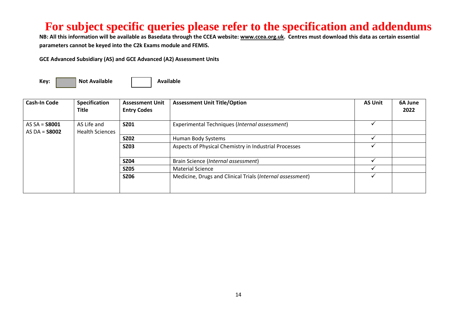**NB: All this information will be available as Basedata through the CCEA website[: www.ccea.org.uk.](http://www.ccea.org.uk/) Centres must download this data as certain essential parameters cannot be keyed into the C2k Exams module and FEMIS.**

**GCE Advanced Subsidiary (AS) and GCE Advanced (A2) Assessment Units** 

| <b>Cash-In Code</b>    | <b>Specification</b><br><b>Title</b> | <b>Assessment Unit</b><br><b>Entry Codes</b> | <b>Assessment Unit Title/Option</b>                       | <b>AS Unit</b> | 6A June<br>2022 |
|------------------------|--------------------------------------|----------------------------------------------|-----------------------------------------------------------|----------------|-----------------|
|                        |                                      |                                              |                                                           |                |                 |
| AS $SA =$ <b>S8001</b> | AS Life and                          | <b>SZ01</b>                                  | Experimental Techniques (Internal assessment)             |                |                 |
| AS DA = $$8002$        | <b>Health Sciences</b>               |                                              |                                                           |                |                 |
|                        |                                      | <b>SZ02</b>                                  | Human Body Systems                                        |                |                 |
|                        |                                      | <b>SZ03</b>                                  | Aspects of Physical Chemistry in Industrial Processes     |                |                 |
|                        |                                      | <b>SZ04</b>                                  | Brain Science (Internal assessment)                       |                |                 |
|                        |                                      | <b>SZ05</b>                                  | <b>Material Science</b>                                   |                |                 |
|                        |                                      | <b>SZ06</b>                                  | Medicine, Drugs and Clinical Trials (Internal assessment) |                |                 |
|                        |                                      |                                              |                                                           |                |                 |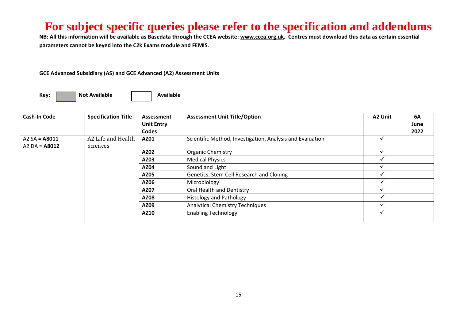**NB: All this information will be available as Basedata through the CCEA website[: www.ccea.org.uk.](http://www.ccea.org.uk/) Centres must download this data as certain essential parameters cannot be keyed into the C2k Exams module and FEMIS.**

#### **GCE Advanced Subsidiary (AS) and GCE Advanced (A2) Assessment Units**

| <b>Cash-In Code</b>                | <b>Specification Title</b>     | Assessment<br><b>Unit Entry</b><br>Codes | <b>Assessment Unit Title/Option</b>                       | A2 Unit | <b>6A</b><br>June<br>2022 |
|------------------------------------|--------------------------------|------------------------------------------|-----------------------------------------------------------|---------|---------------------------|
| A2 $SA = A8011$<br>$A2 DA = A8012$ | A2 Life and Health<br>Sciences | AZ01                                     | Scientific Method, Investigation, Analysis and Evaluation |         |                           |
|                                    |                                | AZ02                                     | <b>Organic Chemistry</b>                                  |         |                           |
|                                    |                                | AZ03                                     | <b>Medical Physics</b>                                    |         |                           |
|                                    |                                | <b>AZ04</b>                              | Sound and Light                                           |         |                           |
|                                    |                                | <b>AZ05</b>                              | Genetics, Stem Cell Research and Cloning                  |         |                           |
|                                    |                                | AZ06                                     | Microbiology                                              |         |                           |
|                                    |                                | AZ07                                     | Oral Health and Dentistry                                 |         |                           |
|                                    |                                | <b>AZ08</b>                              | <b>Histology and Pathology</b>                            |         |                           |
|                                    |                                | AZ09                                     | <b>Analytical Chemistry Techniques</b>                    |         |                           |
|                                    |                                | AZ10                                     | <b>Enabling Technology</b>                                |         |                           |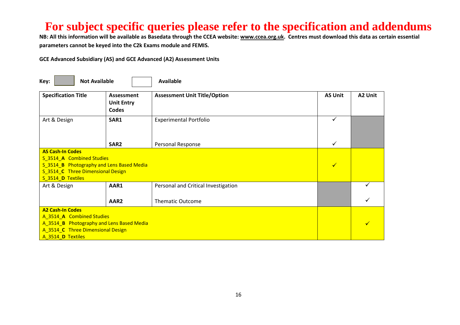**NB: All this information will be available as Basedata through the CCEA website[: www.ccea.org.uk.](http://www.ccea.org.uk/) Centres must download this data as certain essential parameters cannot be keyed into the C2k Exams module and FEMIS.**

| <b>Not Available</b><br>Key:                                                                                                                                |                  | <b>Available</b>                    |                |         |  |  |
|-------------------------------------------------------------------------------------------------------------------------------------------------------------|------------------|-------------------------------------|----------------|---------|--|--|
| <b>Specification Title</b><br>Assessment<br><b>Unit Entry</b><br><b>Codes</b>                                                                               |                  | <b>Assessment Unit Title/Option</b> | <b>AS Unit</b> | A2 Unit |  |  |
| Art & Design                                                                                                                                                | SAR1             | <b>Experimental Portfolio</b>       | $\checkmark$   |         |  |  |
|                                                                                                                                                             | SAR <sub>2</sub> | Personal Response                   | ✓              |         |  |  |
| <b>AS Cash-In Codes</b><br>S_3514_A Combined Studies<br>S_3514_B Photography and Lens Based Media<br>S 3514 C Three Dimensional Design<br>S_3514_D Textiles |                  |                                     |                |         |  |  |
| Art & Design                                                                                                                                                | AAR1             | Personal and Critical Investigation |                |         |  |  |
|                                                                                                                                                             | AAR <sub>2</sub> | <b>Thematic Outcome</b>             |                |         |  |  |
| <b>A2 Cash-In Codes</b><br>A_3514_A Combined Studies<br>A_3514_B Photography and Lens Based Media<br>A_3514_C Three Dimensional Design<br>A_3514_D Textiles |                  | ✓                                   |                |         |  |  |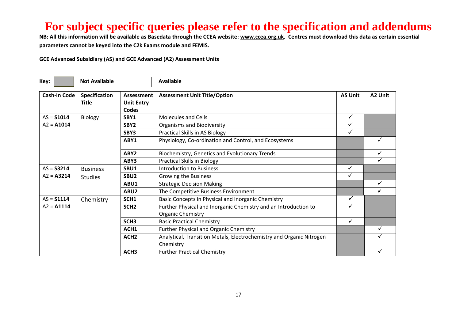**NB: All this information will be available as Basedata through the CCEA website[: www.ccea.org.uk.](http://www.ccea.org.uk/) Centres must download this data as certain essential parameters cannot be keyed into the C2k Exams module and FEMIS.**

| Key:                | <b>Not Available</b>                 |                                          | Available                                                                            |                |         |
|---------------------|--------------------------------------|------------------------------------------|--------------------------------------------------------------------------------------|----------------|---------|
| <b>Cash-In Code</b> | <b>Specification</b><br><b>Title</b> | Assessment<br><b>Unit Entry</b><br>Codes | <b>Assessment Unit Title/Option</b>                                                  | <b>AS Unit</b> | A2 Unit |
| $AS = $1014$        | <b>Biology</b>                       | SBY1                                     | <b>Molecules and Cells</b>                                                           | ✓              |         |
| $A2 = A1014$        |                                      | SBY <sub>2</sub>                         | <b>Organisms and Biodiversity</b>                                                    |                |         |
|                     |                                      | SBY3                                     | <b>Practical Skills in AS Biology</b>                                                | ✓              |         |
|                     |                                      | ABY1                                     | Physiology, Co-ordination and Control, and Ecosystems                                |                |         |
|                     |                                      | ABY <sub>2</sub>                         | Biochemistry, Genetics and Evolutionary Trends                                       |                |         |
|                     |                                      | ABY3                                     | <b>Practical Skills in Biology</b>                                                   |                |         |
| $AS = S3214$        | <b>Business</b>                      | SBU1                                     | Introduction to Business                                                             | ✓              |         |
| $A2 = A3214$        | <b>Studies</b>                       | SBU <sub>2</sub>                         | Growing the Business                                                                 |                |         |
|                     |                                      | ABU1                                     | <b>Strategic Decision Making</b>                                                     |                |         |
|                     |                                      | ABU2                                     | The Competitive Business Environment                                                 |                |         |
| $AS = $1114$        | Chemistry                            | SCH1                                     | Basic Concepts in Physical and Inorganic Chemistry                                   | $\checkmark$   |         |
| $A2 = A1114$        |                                      | SCH <sub>2</sub>                         | Further Physical and Inorganic Chemistry and an Introduction to<br>Organic Chemistry | $\checkmark$   |         |
|                     |                                      | SCH <sub>3</sub>                         | <b>Basic Practical Chemistry</b>                                                     | $\checkmark$   |         |
|                     |                                      | ACH1                                     | <b>Further Physical and Organic Chemistry</b>                                        |                |         |
|                     |                                      | ACH <sub>2</sub>                         | Analytical, Transition Metals, Electrochemistry and Organic Nitrogen<br>Chemistry    |                |         |
|                     |                                      | ACH <sub>3</sub>                         | <b>Further Practical Chemistry</b>                                                   |                |         |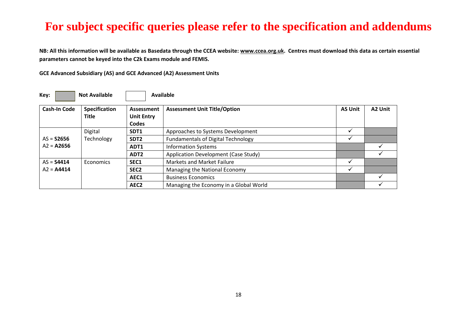**NB: All this information will be available as Basedata through the CCEA website[: www.ccea.org.uk.](http://www.ccea.org.uk/) Centres must download this data as certain essential parameters cannot be keyed into the C2k Exams module and FEMIS.**

| Key:                | <b>Not Available</b>          |                                          | <b>Available</b>                          |                |         |
|---------------------|-------------------------------|------------------------------------------|-------------------------------------------|----------------|---------|
| <b>Cash-In Code</b> | Specification<br><b>Title</b> | Assessment<br><b>Unit Entry</b><br>Codes | <b>Assessment Unit Title/Option</b>       | <b>AS Unit</b> | A2 Unit |
|                     | Digital                       | SDT <sub>1</sub>                         | Approaches to Systems Development         |                |         |
| $AS = S2656$        | Technology                    | SDT <sub>2</sub>                         | <b>Fundamentals of Digital Technology</b> |                |         |
| $A2 = A2656$        |                               | ADT1                                     | <b>Information Systems</b>                |                |         |
|                     |                               | ADT <sub>2</sub>                         | Application Development (Case Study)      |                |         |
| $AS = S4414$        | <b>Economics</b>              | SEC1                                     | <b>Markets and Market Failure</b>         |                |         |
| $A2 = A4414$        |                               | SEC <sub>2</sub>                         | Managing the National Economy             |                |         |
|                     |                               | AEC1                                     | <b>Business Economics</b>                 |                |         |
|                     |                               | AEC <sub>2</sub>                         | Managing the Economy in a Global World    |                |         |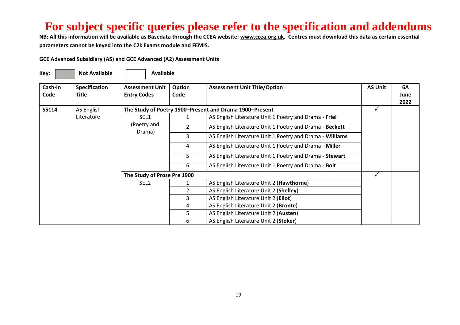**NB: All this information will be available as Basedata through the CCEA website[: www.ccea.org.uk.](http://www.ccea.org.uk/) Centres must download this data as certain essential parameters cannot be keyed into the C2k Exams module and FEMIS.**

| Key:            | <b>Not Available</b>          | <b>Available</b>                             |                |                                                          |                |                    |
|-----------------|-------------------------------|----------------------------------------------|----------------|----------------------------------------------------------|----------------|--------------------|
| Cash-In<br>Code | <b>Specification</b><br>Title | <b>Assessment Unit</b><br><b>Entry Codes</b> | Option<br>Code | <b>Assessment Unit Title/Option</b>                      | <b>AS Unit</b> | 6A<br>June<br>2022 |
| S5114           | AS English                    |                                              |                | The Study of Poetry 1900-Present and Drama 1900-Present  | ✓              |                    |
|                 | Literature                    | SEL1                                         |                | AS English Literature Unit 1 Poetry and Drama - Friel    |                |                    |
|                 |                               | (Poetry and                                  |                | AS English Literature Unit 1 Poetry and Drama - Beckett  |                |                    |
|                 |                               | Drama)                                       | 3              | AS English Literature Unit 1 Poetry and Drama - Williams |                |                    |
|                 |                               |                                              | 4              | AS English Literature Unit 1 Poetry and Drama - Miller   |                |                    |
|                 |                               |                                              | 5              | AS English Literature Unit 1 Poetry and Drama - Stewart  |                |                    |
|                 |                               |                                              | 6              | AS English Literature Unit 1 Poetry and Drama - Bolt     |                |                    |
|                 |                               | The Study of Prose Pre 1900                  |                |                                                          | ✓              |                    |
|                 |                               | SEL <sub>2</sub>                             |                | AS English Literature Unit 2 (Hawthorne)                 |                |                    |
|                 |                               |                                              | $\mathfrak{p}$ | AS English Literature Unit 2 (Shelley)                   |                |                    |
|                 |                               |                                              | 3              | AS English Literature Unit 2 (Eliot)                     |                |                    |
|                 |                               |                                              | 4              | AS English Literature Unit 2 (Bronte)                    |                |                    |
|                 |                               |                                              | 5              | AS English Literature Unit 2 (Austen)                    |                |                    |
|                 |                               |                                              | 6              | AS English Literature Unit 2 (Stoker)                    |                |                    |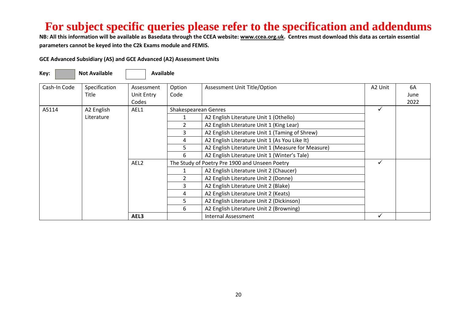**NB: All this information will be available as Basedata through the CCEA website[: www.ccea.org.uk.](http://www.ccea.org.uk/) Centres must download this data as certain essential parameters cannot be keyed into the C2k Exams module and FEMIS.**

| Key:         | <b>Not Available</b>   | <b>Available</b>         |                |                                                    |         |            |
|--------------|------------------------|--------------------------|----------------|----------------------------------------------------|---------|------------|
| Cash-In Code | Specification<br>Title | Assessment<br>Unit Entry | Option<br>Code | Assessment Unit Title/Option                       | A2 Unit | 6A<br>June |
|              |                        | Codes                    |                |                                                    |         | 2022       |
| A5114        | A2 English             | AEL1                     |                | Shakespearean Genres                               |         |            |
|              | Literature             |                          |                | A2 English Literature Unit 1 (Othello)             |         |            |
|              |                        |                          |                | A2 English Literature Unit 1 (King Lear)           |         |            |
|              |                        |                          |                | A2 English Literature Unit 1 (Taming of Shrew)     |         |            |
|              |                        |                          | 4              | A2 English Literature Unit 1 (As You Like It)      |         |            |
|              |                        |                          | 5.             | A2 English Literature Unit 1 (Measure for Measure) |         |            |
|              |                        |                          | 6              | A2 English Literature Unit 1 (Winter's Tale)       |         |            |
|              |                        | AEL <sub>2</sub>         |                | The Study of Poetry Pre 1900 and Unseen Poetry     |         |            |
|              |                        |                          |                | A2 English Literature Unit 2 (Chaucer)             |         |            |
|              |                        |                          |                | A2 English Literature Unit 2 (Donne)               |         |            |
|              |                        |                          | 3              | A2 English Literature Unit 2 (Blake)               |         |            |
|              |                        |                          | 4              | A2 English Literature Unit 2 (Keats)               |         |            |
|              |                        |                          |                | A2 English Literature Unit 2 (Dickinson)           |         |            |
|              |                        |                          | 6              | A2 English Literature Unit 2 (Browning)            |         |            |
|              |                        | AEL3                     |                | <b>Internal Assessment</b>                         |         |            |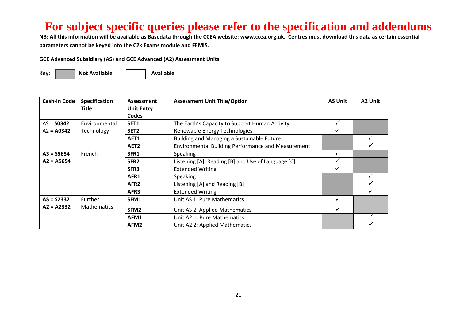**NB: All this information will be available as Basedata through the CCEA website[: www.ccea.org.uk.](http://www.ccea.org.uk/) Centres must download this data as certain essential parameters cannot be keyed into the C2k Exams module and FEMIS.**

**GCE Advanced Subsidiary (AS) and GCE Advanced (A2) Assessment Units** 

Key: **Not Available Not Available Rey:** Not Available

| Cash-In Code        | <b>Specification</b> | Assessment        | <b>Assessment Unit Title/Option</b>                       | <b>AS Unit</b> | A2 Unit |
|---------------------|----------------------|-------------------|-----------------------------------------------------------|----------------|---------|
|                     | Title                | <b>Unit Entry</b> |                                                           |                |         |
|                     |                      | Codes             |                                                           |                |         |
| $AS =$ <b>S0342</b> | Environmental        | SET1              | The Earth's Capacity to Support Human Activity            | ✓              |         |
| $A2 = A0342$        | Technology           | SET <sub>2</sub>  | Renewable Energy Technologies                             | ✓              |         |
|                     |                      | AET1              | Building and Managing a Sustainable Future                |                | ✓       |
|                     |                      | AET <sub>2</sub>  | <b>Environmental Building Performance and Measurement</b> |                |         |
| $AS = S5654$        | French               | SFR1              | <b>Speaking</b>                                           | ✓              |         |
| $A2 = A5654$        |                      | SFR <sub>2</sub>  | Listening [A], Reading [B] and Use of Language [C]        | ✓              |         |
|                     |                      | SFR3              | <b>Extended Writing</b>                                   | ✔              |         |
|                     |                      | AFR1              | <b>Speaking</b>                                           |                | ✓       |
|                     |                      | AFR <sub>2</sub>  | Listening [A] and Reading [B]                             |                | ✔       |
|                     |                      | AFR3              | <b>Extended Writing</b>                                   |                |         |
| $AS = S2332$        | <b>Further</b>       | SFM1              | Unit AS 1: Pure Mathematics                               | ✓              |         |
| $A2 = A2332$        | <b>Mathematics</b>   | SFM <sub>2</sub>  | Unit AS 2: Applied Mathematics                            | ✓              |         |
|                     |                      | AFM1              | Unit A2 1: Pure Mathematics                               |                |         |
|                     |                      | AFM2              | Unit A2 2: Applied Mathematics                            |                |         |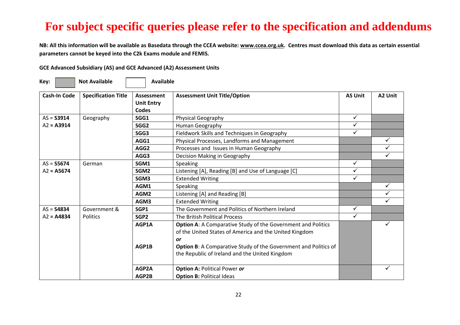**NB: All this information will be available as Basedata through the CCEA website[: www.ccea.org.uk.](http://www.ccea.org.uk/) Centres must download this data as certain essential parameters cannot be keyed into the C2k Exams module and FEMIS.**

| GCE Advanced Subsidiary (AS) and GCE Advanced (A2) Assessment Units |  |  |
|---------------------------------------------------------------------|--|--|
|---------------------------------------------------------------------|--|--|

 $\sim$ 

-

| Key:                | <b>Not Available</b>       | <b>Available</b>                                |                                                                 |                |         |
|---------------------|----------------------------|-------------------------------------------------|-----------------------------------------------------------------|----------------|---------|
| <b>Cash-In Code</b> | <b>Specification Title</b> | Assessment<br><b>Unit Entry</b><br><b>Codes</b> | <b>Assessment Unit Title/Option</b>                             | <b>AS Unit</b> | A2 Unit |
| $AS = S3914$        |                            | SGG1                                            |                                                                 | $\checkmark$   |         |
|                     | Geography                  |                                                 | <b>Physical Geography</b>                                       | ✓              |         |
| $A2 = A3914$        |                            | SGG <sub>2</sub>                                | Human Geography                                                 | ✓              |         |
|                     |                            | SGG3                                            | Fieldwork Skills and Techniques in Geography                    |                |         |
|                     |                            | AGG1                                            | Physical Processes, Landforms and Management                    |                | ✓       |
|                     |                            | AGG2                                            | Processes and Issues in Human Geography                         |                |         |
|                     |                            | AGG3                                            | Decision Making in Geography                                    |                |         |
| $AS = S5674$        | German                     | SGM1                                            | Speaking                                                        | $\checkmark$   |         |
| $A2 = A5674$        |                            | SGM <sub>2</sub>                                | Listening [A], Reading [B] and Use of Language [C]              | $\checkmark$   |         |
|                     |                            | SGM3                                            | <b>Extended Writing</b>                                         | $\checkmark$   |         |
|                     |                            | AGM1                                            | Speaking                                                        |                |         |
|                     |                            | AGM2                                            | Listening [A] and Reading [B]                                   |                |         |
|                     |                            | AGM3                                            | <b>Extended Writing</b>                                         |                |         |
| $AS = S4834$        | Government &               | SGP1                                            | The Government and Politics of Northern Ireland                 | $\checkmark$   |         |
| $A2 = A4834$        | <b>Politics</b>            | SGP <sub>2</sub>                                | The British Political Process                                   | ✓              |         |
|                     |                            | AGP1A                                           | Option A: A Comparative Study of the Government and Politics    |                |         |
|                     |                            |                                                 | of the United States of America and the United Kingdom          |                |         |
|                     |                            |                                                 | <b>or</b>                                                       |                |         |
|                     |                            | AGP1B                                           | Option B: A Comparative Study of the Government and Politics of |                |         |
|                     |                            |                                                 | the Republic of Ireland and the United Kingdom                  |                |         |
|                     |                            | AGP2A                                           | <b>Option A: Political Power or</b>                             |                |         |
|                     |                            | AGP2B                                           | <b>Option B: Political Ideas</b>                                |                |         |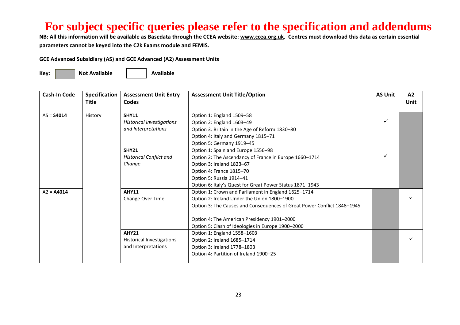**NB: All this information will be available as Basedata through the CCEA website[: www.ccea.org.uk.](http://www.ccea.org.uk/) Centres must download this data as certain essential parameters cannot be keyed into the C2k Exams module and FEMIS.**

**GCE Advanced Subsidiary (AS) and GCE Advanced (A2) Assessment Units** 

| Cash-In Code | Specification<br><b>Title</b> | <b>Assessment Unit Entry</b><br>Codes | <b>Assessment Unit Title/Option</b>                                     | <b>AS Unit</b> | A2<br>Unit |
|--------------|-------------------------------|---------------------------------------|-------------------------------------------------------------------------|----------------|------------|
|              |                               |                                       |                                                                         |                |            |
| $AS = S4014$ | History                       | <b>SHY11</b>                          | Option 1: England 1509-58                                               |                |            |
|              |                               | <b>Historical Investigations</b>      | Option 2: England 1603-49                                               | ✓              |            |
|              |                               | and Interpretations                   | Option 3: Britain in the Age of Reform 1830-80                          |                |            |
|              |                               |                                       | Option 4: Italy and Germany 1815-71                                     |                |            |
|              |                               |                                       | Option 5: Germany 1919-45                                               |                |            |
|              |                               | <b>SHY21</b>                          | Option 1: Spain and Europe 1556-98                                      |                |            |
|              |                               | <b>Historical Conflict and</b>        | Option 2: The Ascendancy of France in Europe 1660-1714                  |                |            |
|              |                               | Change                                | Option 3: Ireland 1823-67                                               |                |            |
|              |                               |                                       | Option 4: France 1815-70                                                |                |            |
|              |                               |                                       | Option 5: Russia 1914-41                                                |                |            |
|              |                               |                                       | Option 6: Italy's Quest for Great Power Status 1871-1943                |                |            |
| $A2 = A4014$ |                               | <b>AHY11</b>                          | Option 1: Crown and Parliament in England 1625-1714                     |                |            |
|              |                               | Change Over Time                      | Option 2: Ireland Under the Union 1800-1900                             |                |            |
|              |                               |                                       | Option 3: The Causes and Consequences of Great Power Conflict 1848-1945 |                |            |
|              |                               |                                       | Option 4: The American Presidency 1901-2000                             |                |            |
|              |                               |                                       |                                                                         |                |            |
|              |                               |                                       | Option 5: Clash of Ideologies in Europe 1900-2000                       |                |            |
|              |                               | <b>AHY21</b>                          | Option 1: England 1558-1603                                             |                |            |
|              |                               | <b>Historical Investigations</b>      | Option 2: Ireland 1685-1714                                             |                |            |
|              |                               | and Interpretations                   | Option 3: Ireland 1778-1803                                             |                |            |
|              |                               |                                       | Option 4: Partition of Ireland 1900-25                                  |                |            |
|              |                               |                                       |                                                                         |                |            |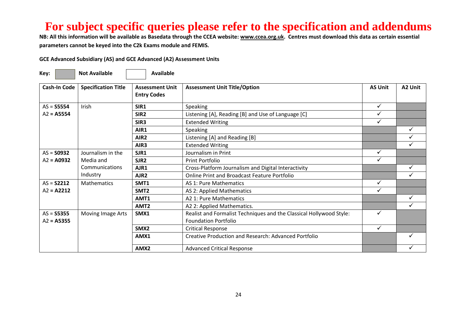**NB: All this information will be available as Basedata through the CCEA website[: www.ccea.org.uk.](http://www.ccea.org.uk/) Centres must download this data as certain essential parameters cannot be keyed into the C2k Exams module and FEMIS.**

| Key:                | <b>Not Available</b>       | <b>Available</b>                             |                                                                     |                |              |
|---------------------|----------------------------|----------------------------------------------|---------------------------------------------------------------------|----------------|--------------|
| Cash-In Code        | <b>Specification Title</b> | <b>Assessment Unit</b><br><b>Entry Codes</b> | <b>Assessment Unit Title/Option</b>                                 | <b>AS Unit</b> | A2 Unit      |
| $AS =$ S5554        | Irish                      | SIR1                                         | Speaking                                                            | $\checkmark$   |              |
| $A2 = A5554$        |                            | SIR <sub>2</sub>                             | Listening [A], Reading [B] and Use of Language [C]                  | ✓              |              |
|                     |                            | SIR <sub>3</sub>                             | <b>Extended Writing</b>                                             | ✓              |              |
|                     |                            | AIR1                                         | Speaking                                                            |                | ✓            |
|                     |                            | AIR <sub>2</sub>                             | Listening [A] and Reading [B]                                       |                |              |
|                     |                            | AIR3                                         | <b>Extended Writing</b>                                             |                |              |
| $AS =$ <b>S0932</b> | Journalism in the          | SJR1                                         | Journalism in Print                                                 | ✓              |              |
| $A2 = A0932$        | Media and                  | SJR <sub>2</sub>                             | Print Portfolio                                                     | ✓              |              |
|                     | Communications             | AJR1                                         | Cross-Platform Journalism and Digital Interactivity                 |                | $\checkmark$ |
|                     | Industry                   | AJR <sub>2</sub>                             | <b>Online Print and Broadcast Feature Portfolio</b>                 |                | ✓            |
| $AS = S2212$        | <b>Mathematics</b>         | SMT <sub>1</sub>                             | AS 1: Pure Mathematics                                              | ✓              |              |
| $A2 = A2212$        |                            | SMT <sub>2</sub>                             | AS 2: Applied Mathematics                                           | ✓              |              |
|                     |                            | AMT1                                         | A2 1: Pure Mathematics                                              |                | ✓            |
|                     |                            | AMT <sub>2</sub>                             | A2 2: Applied Mathematics.                                          |                | ✓            |
| $AS = S5355$        | Moving Image Arts          | SMX1                                         | Realist and Formalist Techniques and the Classical Hollywood Style: | ✓              |              |
| $A2 = A5355$        |                            |                                              | <b>Foundation Portfolio</b>                                         |                |              |
|                     |                            | SMX <sub>2</sub>                             | <b>Critical Response</b>                                            | ✓              |              |
|                     |                            | AMX1                                         | <b>Creative Production and Research: Advanced Portfolio</b>         |                | ✓            |
|                     |                            | AMX <sub>2</sub>                             | <b>Advanced Critical Response</b>                                   |                |              |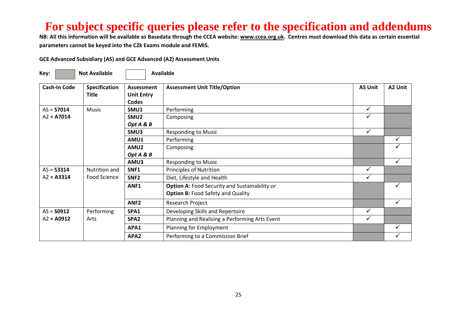**NB: All this information will be available as Basedata through the CCEA website[: www.ccea.org.uk.](http://www.ccea.org.uk/) Centres must download this data as certain essential parameters cannot be keyed into the C2k Exams module and FEMIS.**

| Key:                                | <b>Not Available</b>                 | <b>Available</b>                         |                                                                                                                                |                   |              |  |  |
|-------------------------------------|--------------------------------------|------------------------------------------|--------------------------------------------------------------------------------------------------------------------------------|-------------------|--------------|--|--|
| <b>Cash-In Code</b>                 | <b>Specification</b><br><b>Title</b> | Assessment<br><b>Unit Entry</b><br>Codes | <b>Assessment Unit Title/Option</b>                                                                                            | <b>AS Unit</b>    | A2 Unit      |  |  |
| $AS = S7014$<br>$A2 = A7014$        | Music                                | SMU1<br>SMU <sub>2</sub>                 | Performing<br>Composing                                                                                                        | $\checkmark$<br>✓ |              |  |  |
|                                     |                                      | Opt A & B<br>SMU3<br>AMU1                | <b>Responding to Music</b><br>Performing                                                                                       | $\checkmark$      | ✓            |  |  |
|                                     |                                      | AMU2<br>Opt A & B                        | Composing                                                                                                                      |                   |              |  |  |
| $AS = S3314$                        | Nutrition and                        | AMU3<br>SNF1                             | <b>Responding to Music</b><br>Principles of Nutrition                                                                          | ✓                 | $\checkmark$ |  |  |
| $A2 = A3314$                        | Food Science                         | SNF <sub>2</sub><br>ANF1                 | Diet, Lifestyle and Health<br><b>Option A: Food Security and Sustainability or</b><br><b>Option B: Food Safety and Quality</b> | ✓                 |              |  |  |
|                                     |                                      | ANF <sub>2</sub>                         | Research Project                                                                                                               | ✓                 | $\checkmark$ |  |  |
| $AS =$ <b>S0912</b><br>$A2 = A0912$ | Performing<br>Arts                   | SPA1<br>SPA <sub>2</sub>                 | Developing Skills and Repertoire<br>Planning and Realising a Performing Arts Event                                             | ✓                 |              |  |  |
|                                     |                                      | APA1<br>APA2                             | Planning for Employment<br>Performing to a Commission Brief                                                                    |                   |              |  |  |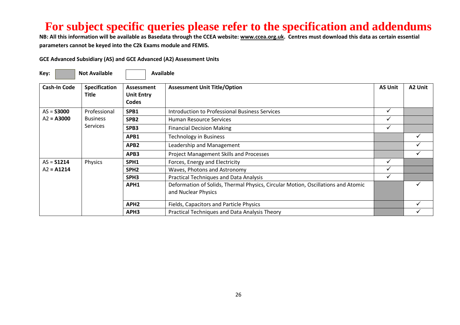**NB: All this information will be available as Basedata through the CCEA website[: www.ccea.org.uk.](http://www.ccea.org.uk/) Centres must download this data as certain essential parameters cannot be keyed into the C2k Exams module and FEMIS.**

| Key:                | <b>Not Available</b>   |                                                        | <b>Available</b>                                                                                        |                |         |
|---------------------|------------------------|--------------------------------------------------------|---------------------------------------------------------------------------------------------------------|----------------|---------|
| <b>Cash-In Code</b> | Specification<br>Title | <b>Assessment</b><br><b>Unit Entry</b><br><b>Codes</b> | <b>Assessment Unit Title/Option</b>                                                                     | <b>AS Unit</b> | A2 Unit |
| $AS = S3000$        | Professional           | SPB1                                                   | Introduction to Professional Business Services                                                          | $\checkmark$   |         |
| $A2 = A3000$        | <b>Business</b>        | SPB <sub>2</sub>                                       | Human Resource Services                                                                                 |                |         |
| <b>Services</b>     |                        | SPB3                                                   | <b>Financial Decision Making</b>                                                                        |                |         |
|                     |                        | APB1                                                   | <b>Technology in Business</b>                                                                           |                |         |
|                     |                        | APB2                                                   | Leadership and Management                                                                               |                |         |
|                     |                        | APB3                                                   | <b>Project Management Skills and Processes</b>                                                          |                |         |
| $AS = S1214$        | Physics                | SPH <sub>1</sub>                                       | Forces, Energy and Electricity                                                                          |                |         |
| $A2 = A1214$        |                        | SPH <sub>2</sub>                                       | Waves, Photons and Astronomy                                                                            |                |         |
|                     |                        | SPH <sub>3</sub>                                       | <b>Practical Techniques and Data Analysis</b>                                                           |                |         |
|                     |                        | APH1                                                   | Deformation of Solids, Thermal Physics, Circular Motion, Oscillations and Atomic<br>and Nuclear Physics |                |         |
|                     |                        | APH <sub>2</sub>                                       | Fields, Capacitors and Particle Physics                                                                 |                |         |
|                     |                        | APH3                                                   | Practical Techniques and Data Analysis Theory                                                           |                |         |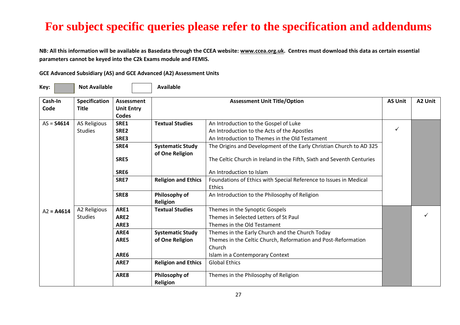**NB: All this information will be available as Basedata through the CCEA website[: www.ccea.org.uk.](http://www.ccea.org.uk/) Centres must download this data as certain essential parameters cannot be keyed into the C2k Exams module and FEMIS.**

| Key:            | <b>Not Available</b>                 |                                 | <b>Available</b>           |                                                                        |   |         |
|-----------------|--------------------------------------|---------------------------------|----------------------------|------------------------------------------------------------------------|---|---------|
| Cash-In<br>Code | <b>Specification</b><br><b>Title</b> | Assessment<br><b>Unit Entry</b> |                            | <b>Assessment Unit Title/Option</b>                                    |   | A2 Unit |
|                 |                                      | <b>Codes</b>                    |                            |                                                                        |   |         |
| $AS = S4614$    | <b>AS Religious</b>                  | SRE1                            | <b>Textual Studies</b>     | An Introduction to the Gospel of Luke                                  | ✓ |         |
|                 | <b>Studies</b>                       | SRE2                            |                            | An Introduction to the Acts of the Apostles                            |   |         |
|                 |                                      | SRE3                            |                            | An Introduction to Themes in the Old Testament                         |   |         |
|                 |                                      | SRE4                            | <b>Systematic Study</b>    | The Origins and Development of the Early Christian Church to AD 325    |   |         |
|                 |                                      | SRE5                            | of One Religion            | The Celtic Church in Ireland in the Fifth, Sixth and Seventh Centuries |   |         |
|                 |                                      | SRE6                            |                            | An Introduction to Islam                                               |   |         |
|                 |                                      | SRE7                            | <b>Religion and Ethics</b> | Foundations of Ethics with Special Reference to Issues in Medical      |   |         |
|                 |                                      |                                 |                            | <b>Ethics</b>                                                          |   |         |
|                 |                                      | SRE8                            | Philosophy of              | An Introduction to the Philosophy of Religion                          |   |         |
|                 |                                      |                                 | Religion                   |                                                                        |   |         |
| $A2 = A4614$    | A2 Religious<br><b>Studies</b>       | ARE1                            | <b>Textual Studies</b>     | Themes in the Synoptic Gospels                                         |   |         |
|                 |                                      | ARE <sub>2</sub>                |                            | Themes in Selected Letters of St Paul                                  |   |         |
|                 |                                      | ARE3                            |                            | Themes in the Old Testament                                            |   |         |
|                 |                                      | ARE4                            | <b>Systematic Study</b>    | Themes in the Early Church and the Church Today                        |   |         |
|                 |                                      | ARE5                            | of One Religion            | Themes in the Celtic Church, Reformation and Post-Reformation          |   |         |
|                 |                                      |                                 |                            | Church                                                                 |   |         |
|                 |                                      | ARE6                            |                            | Islam in a Contemporary Context                                        |   |         |
|                 |                                      | ARE7                            | <b>Religion and Ethics</b> | <b>Global Ethics</b>                                                   |   |         |
|                 |                                      | ARE8                            | Philosophy of              | Themes in the Philosophy of Religion                                   |   |         |
|                 |                                      |                                 | <b>Religion</b>            |                                                                        |   |         |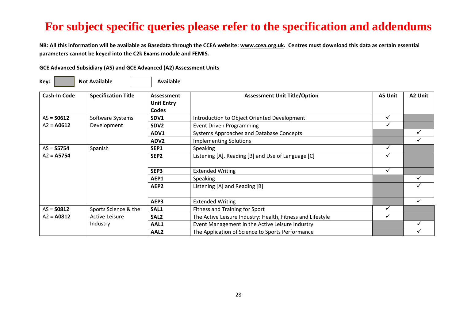**NB: All this information will be available as Basedata through the CCEA website[: www.ccea.org.uk.](http://www.ccea.org.uk/) Centres must download this data as certain essential parameters cannot be keyed into the C2k Exams module and FEMIS.**

| Key: |  | <b>Not Available</b> |  | Available |
|------|--|----------------------|--|-----------|
|------|--|----------------------|--|-----------|

| <b>Cash-In Code</b> | <b>Specification Title</b> | Assessment        | <b>Assessment Unit Title/Option</b>                        | <b>AS Unit</b> | A2 Unit |
|---------------------|----------------------------|-------------------|------------------------------------------------------------|----------------|---------|
|                     |                            | <b>Unit Entry</b> |                                                            |                |         |
|                     |                            | Codes             |                                                            |                |         |
| $AS =$ <b>S0612</b> | Software Systems           | SDV1              | Introduction to Object Oriented Development                | ✓              |         |
| $A2 = A0612$        | Development                | SDV <sub>2</sub>  | <b>Event Driven Programming</b>                            | √              |         |
|                     |                            | ADV1              | Systems Approaches and Database Concepts                   |                |         |
|                     |                            | ADV <sub>2</sub>  | <b>Implementing Solutions</b>                              |                |         |
| $AS = S5754$        | Spanish                    | SEP1              | <b>Speaking</b>                                            |                |         |
| $A2 = A5754$        |                            | SEP <sub>2</sub>  | Listening [A], Reading [B] and Use of Language [C]         | M              |         |
|                     |                            |                   |                                                            |                |         |
|                     |                            | SEP3              | <b>Extended Writing</b>                                    | ✓              |         |
|                     |                            | AEP1              | <b>Speaking</b>                                            |                |         |
|                     |                            | AEP <sub>2</sub>  | Listening [A] and Reading [B]                              |                |         |
|                     |                            |                   |                                                            |                |         |
|                     |                            | AEP3              | <b>Extended Writing</b>                                    |                |         |
| $AS =$ <b>SO812</b> | Sports Science & the       | SAL1              | Fitness and Training for Sport                             |                |         |
| $A2 = A0812$        | Active Leisure             | SAL <sub>2</sub>  | The Active Leisure Industry: Health, Fitness and Lifestyle |                |         |
|                     | Industry                   | AAL1              | Event Management in the Active Leisure Industry            |                |         |
|                     |                            | AAL <sub>2</sub>  | The Application of Science to Sports Performance           |                |         |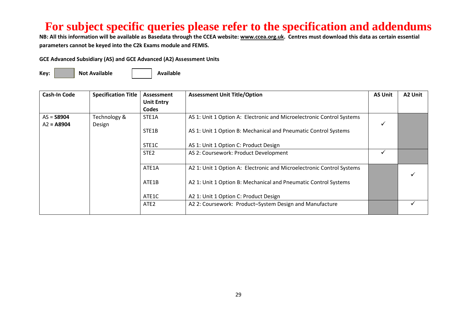**NB: All this information will be available as Basedata through the CCEA website[: www.ccea.org.uk.](http://www.ccea.org.uk/) Centres must download this data as certain essential parameters cannot be keyed into the C2k Exams module and FEMIS.**

**GCE Advanced Subsidiary (AS) and GCE Advanced (A2) Assessment Units** 

**Key:** Not Available **Available Available** 

| <b>Cash-In Code</b>          | <b>Specification Title</b> | Assessment<br><b>Unit Entry</b><br>Codes | <b>Assessment Unit Title/Option</b>                                   | <b>AS Unit</b> | A2 Unit |
|------------------------------|----------------------------|------------------------------------------|-----------------------------------------------------------------------|----------------|---------|
| $AS =$ 58904<br>$A2 = A8904$ | Technology &<br>Design     | STE <sub>1</sub> A                       | AS 1: Unit 1 Option A: Electronic and Microelectronic Control Systems |                |         |
|                              |                            | STE1B                                    | AS 1: Unit 1 Option B: Mechanical and Pneumatic Control Systems       |                |         |
|                              |                            | STE1C                                    | AS 1: Unit 1 Option C: Product Design                                 |                |         |
|                              |                            | STE <sub>2</sub>                         | AS 2: Coursework: Product Development                                 |                |         |
|                              |                            | ATE1A                                    | A2 1: Unit 1 Option A: Electronic and Microelectronic Control Systems |                |         |
|                              |                            | ATE1B                                    | A2 1: Unit 1 Option B: Mechanical and Pneumatic Control Systems       |                |         |
|                              |                            | ATE1C                                    | A2 1: Unit 1 Option C: Product Design                                 |                |         |
|                              |                            | ATE <sub>2</sub>                         | A2 2: Coursework: Product-System Design and Manufacture               |                |         |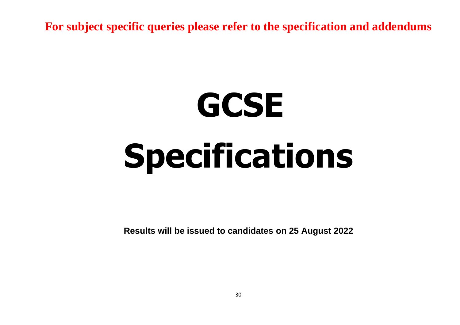# **GCSE Specifications**

**Results will be issued to candidates on 25 August 2022**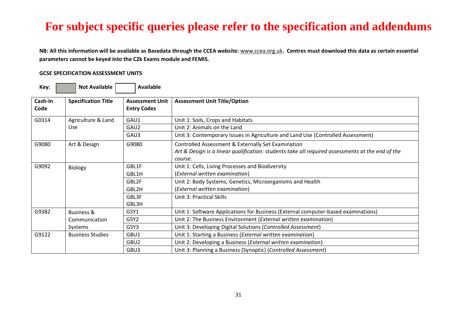**NB: All this information will be available as Basedata through the CCEA website:** [www.ccea.org.uk](http://www.ccea.org.uk/)**. Centres must download this data as certain essential parameters cannot be keyed into the C2k Exams module and FEMIS.**

#### **GCSE SPECIFICATION ASSESSMENT UNITS**

| Key:            | <b>Not Available</b>       | <b>Available</b>                             |                                                                                                                                                                   |
|-----------------|----------------------------|----------------------------------------------|-------------------------------------------------------------------------------------------------------------------------------------------------------------------|
| Cash-In<br>Code | <b>Specification Title</b> | <b>Assessment Unit</b><br><b>Entry Codes</b> | <b>Assessment Unit Title/Option</b>                                                                                                                               |
| G0314           | Agriculture & Land         | GAU1                                         | Unit 1: Soils, Crops and Habitats                                                                                                                                 |
|                 | <b>Use</b>                 | GAU2                                         | Unit 2: Animals on the Land                                                                                                                                       |
|                 |                            | GAU3                                         | Unit 3: Contemporary Issues in Agriculture and Land Use (Controlled Assessment)                                                                                   |
| G9080           | Art & Design               | G9080                                        | Controlled Assessment & Externally Set Examination<br>Art & Design is a linear qualification: students take all required assessments at the end of the<br>course. |
| G9092           | Biology                    | GBL1F<br>GBL1H                               | Unit 1: Cells, Living Processes and Biodiversity<br>(External written examination)                                                                                |
|                 |                            | GBL2F<br>GBL2H                               | Unit 2: Body Systems, Genetics, Microorganisms and Health<br>(External written examination)                                                                       |
|                 |                            | GBL3F<br>GBL3H                               | <b>Unit 3: Practical Skills</b>                                                                                                                                   |
| G9382           | <b>Business &amp;</b>      | GSY1                                         | Unit 1: Software Applications for Business (External computer-based examinations)                                                                                 |
|                 | Communication              | GSY <sub>2</sub>                             | Unit 2: The Business Environment (External written examination)                                                                                                   |
|                 | Systems                    | GSY3                                         | Unit 3: Developing Digital Solutions (Controlled Assessment)                                                                                                      |
| G9122           | <b>Business Studies</b>    | GBU1                                         | Unit 1: Starting a Business ( <i>External written examination</i> )                                                                                               |
|                 |                            | GBU <sub>2</sub>                             | Unit 2: Developing a Business (External written examination)                                                                                                      |
|                 |                            | GBU3                                         | Unit 3: Planning a Business (Synoptic) (Controlled Assessment)                                                                                                    |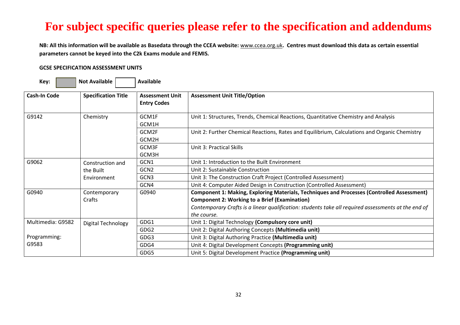**NB: All this information will be available as Basedata through the CCEA website:** [www.ccea.org.uk](http://www.ccea.org.uk/)**. Centres must download this data as certain essential parameters cannot be keyed into the C2k Exams module and FEMIS.**

#### **GCSE SPECIFICATION ASSESSMENT UNITS**

| Key:                | <b>Not Available</b>                         | Available                                    |                                                                                                                                                                                                                                                                          |
|---------------------|----------------------------------------------|----------------------------------------------|--------------------------------------------------------------------------------------------------------------------------------------------------------------------------------------------------------------------------------------------------------------------------|
| <b>Cash-In Code</b> | <b>Specification Title</b>                   | <b>Assessment Unit</b><br><b>Entry Codes</b> | <b>Assessment Unit Title/Option</b>                                                                                                                                                                                                                                      |
| G9142               | Chemistry                                    | GCM1F<br>GCM1H                               | Unit 1: Structures, Trends, Chemical Reactions, Quantitative Chemistry and Analysis                                                                                                                                                                                      |
|                     |                                              | GCM2F<br>GCM2H                               | Unit 2: Further Chemical Reactions, Rates and Equilibrium, Calculations and Organic Chemistry                                                                                                                                                                            |
|                     |                                              | GCM3F<br>GCM3H                               | <b>Unit 3: Practical Skills</b>                                                                                                                                                                                                                                          |
| G9062               | Construction and<br>the Built<br>Environment | GCN1                                         | Unit 1: Introduction to the Built Environment                                                                                                                                                                                                                            |
|                     |                                              | GCN <sub>2</sub>                             | Unit 2: Sustainable Construction                                                                                                                                                                                                                                         |
|                     |                                              | GCN3                                         | Unit 3: The Construction Craft Project (Controlled Assessment)                                                                                                                                                                                                           |
|                     |                                              | GCN4                                         | Unit 4: Computer Aided Design in Construction (Controlled Assessment)                                                                                                                                                                                                    |
| G0940               | Contemporary<br>Crafts                       | G0940                                        | Component 1: Making, Exploring Materials, Techniques and Processes (Controlled Assessment)<br><b>Component 2: Working to a Brief (Examination)</b><br>Contemporary Crafts is a linear qualification: students take all required assessments at the end of<br>the course. |
| Multimedia: G9582   | <b>Digital Technology</b>                    | GDG1                                         | Unit 1: Digital Technology (Compulsory core unit)                                                                                                                                                                                                                        |
|                     |                                              | GDG <sub>2</sub>                             | Unit 2: Digital Authoring Concepts (Multimedia unit)                                                                                                                                                                                                                     |
| Programming:        |                                              | GDG3                                         | Unit 3: Digital Authoring Practice (Multimedia unit)                                                                                                                                                                                                                     |
| G9583               |                                              | GDG4                                         | Unit 4: Digital Development Concepts (Programming unit)                                                                                                                                                                                                                  |
|                     |                                              | GDG5                                         | Unit 5: Digital Development Practice (Programming unit)                                                                                                                                                                                                                  |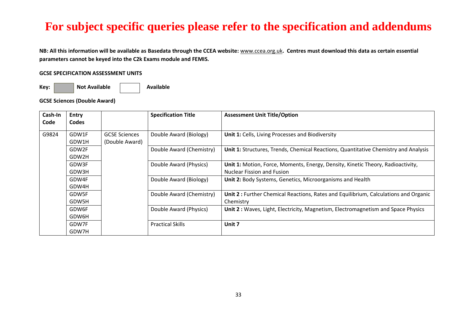**NB: All this information will be available as Basedata through the CCEA website:** [www.ccea.org.uk](http://www.ccea.org.uk/)**. Centres must download this data as certain essential parameters cannot be keyed into the C2k Exams module and FEMIS.**

#### **GCSE SPECIFICATION ASSESSMENT UNITS**

Key: **Not Available Not Available** 

**GCSE Sciences (Double Award)** 

| Cash-In<br>Code | <b>Entry</b><br><b>Codes</b> |                      | <b>Specification Title</b> | <b>Assessment Unit Title/Option</b>                                                 |
|-----------------|------------------------------|----------------------|----------------------------|-------------------------------------------------------------------------------------|
|                 |                              |                      |                            |                                                                                     |
| G9824           | GDW1F                        | <b>GCSE Sciences</b> | Double Award (Biology)     | Unit 1: Cells, Living Processes and Biodiversity                                    |
|                 | GDW1H                        | (Double Award)       |                            |                                                                                     |
|                 | GDW2F                        |                      | Double Award (Chemistry)   | Unit 1: Structures, Trends, Chemical Reactions, Quantitative Chemistry and Analysis |
|                 | GDW2H                        |                      |                            |                                                                                     |
|                 | GDW3F                        |                      | Double Award (Physics)     | Unit 1: Motion, Force, Moments, Energy, Density, Kinetic Theory, Radioactivity,     |
|                 | GDW3H                        |                      |                            | <b>Nuclear Fission and Fusion</b>                                                   |
|                 | GDW4F                        |                      | Double Award (Biology)     | Unit 2: Body Systems, Genetics, Microorganisms and Health                           |
|                 | GDW4H                        |                      |                            |                                                                                     |
|                 | GDW5F                        |                      | Double Award (Chemistry)   | Unit 2: Further Chemical Reactions, Rates and Equilibrium, Calculations and Organic |
|                 | GDW5H                        |                      |                            | Chemistry                                                                           |
|                 | GDW6F                        |                      | Double Award (Physics)     | Unit 2: Waves, Light, Electricity, Magnetism, Electromagnetism and Space Physics    |
|                 | GDW6H                        |                      |                            |                                                                                     |
|                 | GDW7F                        |                      | <b>Practical Skills</b>    | Unit 7                                                                              |
|                 | GDW7H                        |                      |                            |                                                                                     |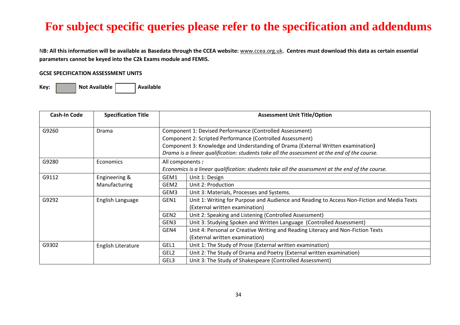N**B: All this information will be available as Basedata through the CCEA website:** [www.ccea.org.uk](http://www.ccea.org.uk/)**. Centres must download this data as certain essential parameters cannot be keyed into the C2k Exams module and FEMIS.**

#### **GCSE SPECIFICATION ASSESSMENT UNITS**

| <b>Cash-In Code</b> | <b>Specification Title</b> |                  | <b>Assessment Unit Title/Option</b>                                                                                                                                                                                                                                                                      |  |  |
|---------------------|----------------------------|------------------|----------------------------------------------------------------------------------------------------------------------------------------------------------------------------------------------------------------------------------------------------------------------------------------------------------|--|--|
| G9260               | Drama                      |                  | Component 1: Devised Performance (Controlled Assessment)<br>Component 2: Scripted Performance (Controlled Assessment)<br>Component 3: Knowledge and Understanding of Drama (External Written examination)<br>Drama is a linear qualification: students take all the assessment at the end of the course. |  |  |
| G9280               | Economics                  |                  | All components :<br>Economics is a linear qualification: students take all the assessment at the end of the course.                                                                                                                                                                                      |  |  |
| G9112               | Engineering &              | GEM1             | Unit 1: Design                                                                                                                                                                                                                                                                                           |  |  |
|                     | Manufacturing              | GEM2             | Unit 2: Production                                                                                                                                                                                                                                                                                       |  |  |
|                     |                            | GEM3             | Unit 3: Materials, Processes and Systems.                                                                                                                                                                                                                                                                |  |  |
| G9292               | English Language           | GEN1             | Unit 1: Writing for Purpose and Audience and Reading to Access Non-Fiction and Media Texts<br>(External written examination)                                                                                                                                                                             |  |  |
|                     |                            | GEN <sub>2</sub> | Unit 2: Speaking and Listening (Controlled Assessment)                                                                                                                                                                                                                                                   |  |  |
|                     |                            | GEN3             | Unit 3: Studying Spoken and Written Language (Controlled Assessment)                                                                                                                                                                                                                                     |  |  |
|                     |                            | GEN4             | Unit 4: Personal or Creative Writing and Reading Literacy and Non-Fiction Texts                                                                                                                                                                                                                          |  |  |
|                     |                            |                  | (External written examination)                                                                                                                                                                                                                                                                           |  |  |
| G9302               | English Literature         | GEL1             | Unit 1: The Study of Prose (External written examination)                                                                                                                                                                                                                                                |  |  |
|                     |                            | GEL <sub>2</sub> | Unit 2: The Study of Drama and Poetry (External written examination)                                                                                                                                                                                                                                     |  |  |
|                     |                            | GEL3             | Unit 3: The Study of Shakespeare (Controlled Assessment)                                                                                                                                                                                                                                                 |  |  |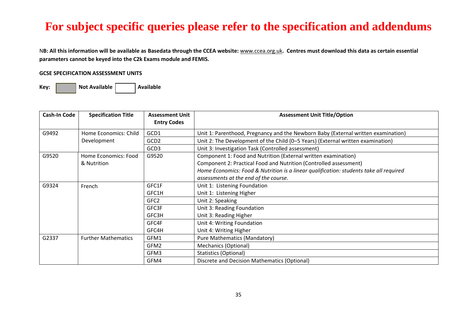N**B: All this information will be available as Basedata through the CCEA website:** [www.ccea.org.uk](http://www.ccea.org.uk/)**. Centres must download this data as certain essential parameters cannot be keyed into the C2k Exams module and FEMIS.**

#### **GCSE SPECIFICATION ASSESSMENT UNITS**

| Cash-In Code | <b>Specification Title</b> | <b>Assessment Unit</b><br><b>Entry Codes</b> | <b>Assessment Unit Title/Option</b>                                                    |
|--------------|----------------------------|----------------------------------------------|----------------------------------------------------------------------------------------|
| G9492        | Home Economics: Child      | GCD1                                         | Unit 1: Parenthood, Pregnancy and the Newborn Baby (External written examination)      |
|              | Development                | GCD <sub>2</sub>                             | Unit 2: The Development of the Child (0-5 Years) (External written examination)        |
|              |                            | GCD3                                         | Unit 3: Investigation Task (Controlled assessment)                                     |
| G9520        | Home Economics: Food       | G9520                                        | Component 1: Food and Nutrition (External written examination)                         |
|              | & Nutrition                |                                              | Component 2: Practical Food and Nutrition (Controlled assessment)                      |
|              |                            |                                              | Home Economics: Food & Nutrition is a linear qualification: students take all required |
|              |                            |                                              | assessments at the end of the course.                                                  |
| G9324        | French                     | GFC1F                                        | Unit 1: Listening Foundation                                                           |
|              |                            | GFC1H                                        | Unit 1: Listening Higher                                                               |
|              |                            | GFC <sub>2</sub>                             | Unit 2: Speaking                                                                       |
|              |                            | GFC3F                                        | Unit 3: Reading Foundation                                                             |
|              |                            | GFC3H                                        | Unit 3: Reading Higher                                                                 |
|              |                            | GFC4F                                        | Unit 4: Writing Foundation                                                             |
|              |                            | GFC4H                                        | Unit 4: Writing Higher                                                                 |
| G2337        | <b>Further Mathematics</b> | GFM1                                         | <b>Pure Mathematics (Mandatory)</b>                                                    |
|              |                            | GFM2                                         | <b>Mechanics (Optional)</b>                                                            |
|              |                            | GFM3                                         | <b>Statistics (Optional)</b>                                                           |
|              |                            | GFM4                                         | Discrete and Decision Mathematics (Optional)                                           |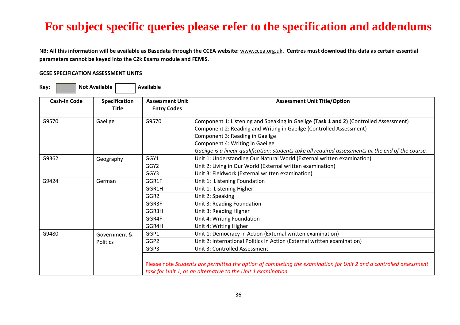N**B: All this information will be available as Basedata through the CCEA website:** [www.ccea.org.uk](http://www.ccea.org.uk/)**. Centres must download this data as certain essential parameters cannot be keyed into the C2k Exams module and FEMIS.**

#### **GCSE SPECIFICATION ASSESSMENT UNITS**

| Key:                                                                                                                                                                                                                                       | <b>Not Available</b>            | <b>Available</b>                                                                                                           |                                                                                                                                                                                                                                                                                                                                                              |
|--------------------------------------------------------------------------------------------------------------------------------------------------------------------------------------------------------------------------------------------|---------------------------------|----------------------------------------------------------------------------------------------------------------------------|--------------------------------------------------------------------------------------------------------------------------------------------------------------------------------------------------------------------------------------------------------------------------------------------------------------------------------------------------------------|
| <b>Cash-In Code</b>                                                                                                                                                                                                                        | Specification<br><b>Title</b>   | <b>Assessment Unit</b><br><b>Entry Codes</b>                                                                               | <b>Assessment Unit Title/Option</b>                                                                                                                                                                                                                                                                                                                          |
| G9570<br>Gaeilge<br>G9570                                                                                                                                                                                                                  |                                 |                                                                                                                            | Component 1: Listening and Speaking in Gaeilge (Task 1 and 2) (Controlled Assessment)<br>Component 2: Reading and Writing in Gaeilge (Controlled Assessment)<br>Component 3: Reading in Gaeilge<br>Component 4: Writing in Gaeilge<br>Gaeilge is a linear qualification: students take all required assessments at the end of the course.                    |
| GGY1<br>G9362<br>Geography<br>GGY <sub>2</sub><br>Unit 2: Living in Our World (External written examination)<br>GGY3                                                                                                                       |                                 | Unit 1: Understanding Our Natural World (External written examination)<br>Unit 3: Fieldwork (External written examination) |                                                                                                                                                                                                                                                                                                                                                              |
| G9424<br>GGR1F<br>Unit 1: Listening Foundation<br>German<br>GGR1H<br>Unit 1: Listening Higher<br>GGR2<br>Unit 2: Speaking<br>GGR3F<br>Unit 3: Reading Foundation<br>GGR3H<br>Unit 3: Reading Higher<br>GGR4F<br>Unit 4: Writing Foundation |                                 | GGR4H                                                                                                                      | Unit 4: Writing Higher                                                                                                                                                                                                                                                                                                                                       |
| G9480                                                                                                                                                                                                                                      | Government &<br><b>Politics</b> | GGP1<br>GGP <sub>2</sub><br>GGP3                                                                                           | Unit 1: Democracy in Action (External written examination)<br>Unit 2: International Politics in Action (External written examination)<br>Unit 3: Controlled Assessment<br>Please note Students are permitted the option of completing the examination for Unit 2 and a controlled assessment<br>task for Unit 1, as an alternative to the Unit 1 examination |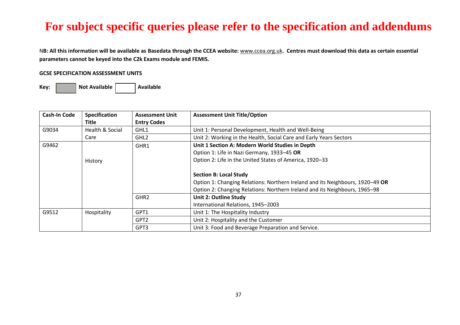N**B: All this information will be available as Basedata through the CCEA website:** [www.ccea.org.uk](http://www.ccea.org.uk/)**. Centres must download this data as certain essential parameters cannot be keyed into the C2k Exams module and FEMIS.**

#### **GCSE SPECIFICATION ASSESSMENT UNITS**

| <b>Cash-In Code</b> | <b>Specification</b> | <b>Assessment Unit</b> | <b>Assessment Unit Title/Option</b>                                           |  |
|---------------------|----------------------|------------------------|-------------------------------------------------------------------------------|--|
|                     | Title                | <b>Entry Codes</b>     |                                                                               |  |
| G9034               | Health & Social      | GHL1                   | Unit 1: Personal Development, Health and Well-Being                           |  |
|                     | Care                 | GHL <sub>2</sub>       | Unit 2: Working in the Health, Social Care and Early Years Sectors            |  |
| G9462               |                      | GHR1                   | Unit 1 Section A: Modern World Studies in Depth                               |  |
|                     |                      |                        | Option 1: Life in Nazi Germany, 1933-45 OR                                    |  |
|                     | History              |                        | Option 2: Life in the United States of America, 1920-33                       |  |
|                     |                      |                        |                                                                               |  |
|                     |                      |                        | <b>Section B: Local Study</b>                                                 |  |
|                     |                      |                        | Option 1: Changing Relations: Northern Ireland and its Neighbours, 1920–49 OR |  |
|                     |                      |                        | Option 2: Changing Relations: Northern Ireland and its Neighbours, 1965–98    |  |
|                     |                      | GHR <sub>2</sub>       | Unit 2: Outline Study                                                         |  |
|                     |                      |                        | International Relations, 1945-2003                                            |  |
| G9512               | Hospitality          | GPT1                   | Unit 1: The Hospitality Industry                                              |  |
|                     |                      | GPT <sub>2</sub>       | Unit 2: Hospitality and the Customer                                          |  |
|                     |                      | GPT3                   | Unit 3: Food and Beverage Preparation and Service.                            |  |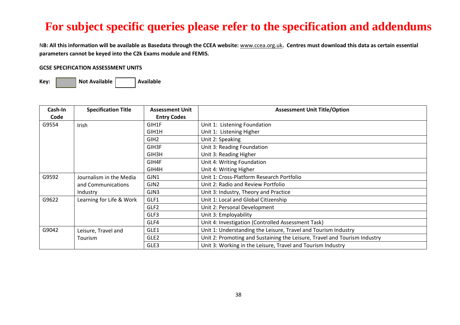N**B: All this information will be available as Basedata through the CCEA website:** [www.ccea.org.uk](http://www.ccea.org.uk/)**. Centres must download this data as certain essential parameters cannot be keyed into the C2k Exams module and FEMIS.**

#### **GCSE SPECIFICATION ASSESSMENT UNITS**

| Cash-In                                                                               | <b>Specification Title</b> | <b>Assessment Unit</b>               | <b>Assessment Unit Title/Option</b>                                       |  |
|---------------------------------------------------------------------------------------|----------------------------|--------------------------------------|---------------------------------------------------------------------------|--|
| Code                                                                                  |                            | <b>Entry Codes</b>                   |                                                                           |  |
| G9554                                                                                 | Irish                      |                                      | Unit 1: Listening Foundation                                              |  |
|                                                                                       |                            | GIH1H                                | Unit 1: Listening Higher                                                  |  |
|                                                                                       |                            | GIH <sub>2</sub>                     | Unit 2: Speaking                                                          |  |
|                                                                                       |                            | GIH3F                                | Unit 3: Reading Foundation                                                |  |
|                                                                                       |                            | GIH3H                                | Unit 3: Reading Higher                                                    |  |
|                                                                                       |                            | GIH4F                                | Unit 4: Writing Foundation                                                |  |
|                                                                                       |                            | GIH4H                                | Unit 4: Writing Higher                                                    |  |
| G9592<br>Unit 1: Cross-Platform Research Portfolio<br>GJN1<br>Journalism in the Media |                            |                                      |                                                                           |  |
|                                                                                       | and Communications         | GJN2                                 | Unit 2: Radio and Review Portfolio                                        |  |
| Industry                                                                              |                            | GJN3                                 | Unit 3: Industry, Theory and Practice                                     |  |
| G9622<br>Learning for Life & Work<br>GLF1                                             |                            | Unit 1: Local and Global Citizenship |                                                                           |  |
|                                                                                       |                            | GLF <sub>2</sub>                     | Unit 2: Personal Development                                              |  |
|                                                                                       |                            | GLF3                                 | Unit 3: Employability                                                     |  |
|                                                                                       |                            | GLF4                                 | Unit 4: Investigation (Controlled Assessment Task)                        |  |
| G9042                                                                                 | Leisure, Travel and        | GLE1                                 | Unit 1: Understanding the Leisure, Travel and Tourism Industry            |  |
|                                                                                       | Tourism                    | GLE <sub>2</sub>                     | Unit 2: Promoting and Sustaining the Leisure, Travel and Tourism Industry |  |
|                                                                                       |                            | GLE3                                 | Unit 3: Working in the Leisure, Travel and Tourism Industry               |  |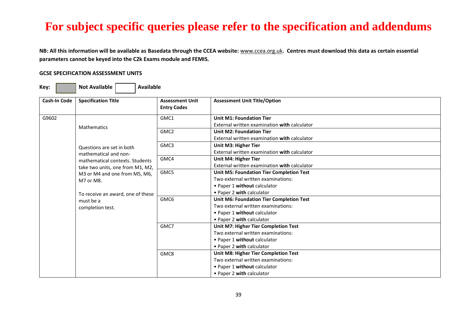**NB: All this information will be available as Basedata through the CCEA website:** [www.ccea.org.uk](http://www.ccea.org.uk/)**. Centres must download this data as certain essential parameters cannot be keyed into the C2k Exams module and FEMIS.**

#### **GCSE SPECIFICATION ASSESSMENT UNITS**

| Cash-In Code | <b>Specification Title</b>                     | <b>Assessment Unit</b><br><b>Entry Codes</b> | <b>Assessment Unit Title/Option</b>             |
|--------------|------------------------------------------------|----------------------------------------------|-------------------------------------------------|
| G9602        | <b>Mathematics</b>                             | GMC1                                         | <b>Unit M1: Foundation Tier</b>                 |
|              |                                                |                                              | External written examination with calculator    |
|              |                                                | GMC <sub>2</sub>                             | <b>Unit M2: Foundation Tier</b>                 |
|              |                                                |                                              | External written examination with calculator    |
|              | Questions are set in both                      | GMC3                                         | Unit M3: Higher Tier                            |
|              | mathematical and non-                          |                                              | External written examination with calculator    |
|              | mathematical contexts. Students                | GMC4                                         | Unit M4: Higher Tier                            |
|              | take two units, one from M1, M2,               |                                              | External written examination with calculator    |
|              | M3 or M4 and one from M5, M6,                  | GMC5                                         | <b>Unit M5: Foundation Tier Completion Test</b> |
|              | M7 or M8.                                      |                                              | Two external written examinations:              |
|              |                                                |                                              | • Paper 1 without calculator                    |
|              | To receive an award, one of these<br>must be a |                                              | • Paper 2 with calculator                       |
|              |                                                | GMC6                                         | <b>Unit M6: Foundation Tier Completion Test</b> |
|              | completion test.                               |                                              | Two external written examinations:              |
|              |                                                |                                              | • Paper 1 without calculator                    |
|              |                                                |                                              | • Paper 2 with calculator                       |
|              |                                                | GMC7                                         | Unit M7: Higher Tier Completion Test            |
|              |                                                |                                              | Two external written examinations:              |
|              |                                                |                                              | • Paper 1 without calculator                    |
|              |                                                |                                              | • Paper 2 with calculator                       |
|              |                                                | GMC8                                         | Unit M8: Higher Tier Completion Test            |
|              |                                                |                                              | Two external written examinations:              |
|              |                                                |                                              | • Paper 1 without calculator                    |
|              |                                                |                                              | • Paper 2 with calculator                       |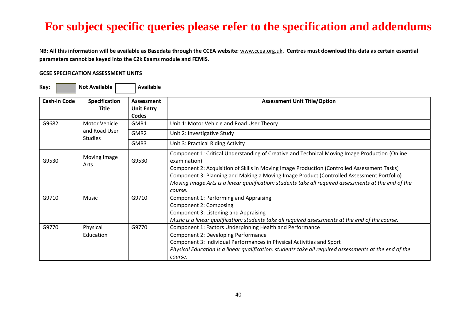N**B: All this information will be available as Basedata through the CCEA website:** [www.ccea.org.uk](http://www.ccea.org.uk/)**. Centres must download this data as certain essential parameters cannot be keyed into the C2k Exams module and FEMIS.**

#### **GCSE SPECIFICATION ASSESSMENT UNITS**

| Key:                | <b>Not Available</b>                 | <b>Available</b>                         |                                                                                                                                                                                                                                                                                                                                                                                                                               |
|---------------------|--------------------------------------|------------------------------------------|-------------------------------------------------------------------------------------------------------------------------------------------------------------------------------------------------------------------------------------------------------------------------------------------------------------------------------------------------------------------------------------------------------------------------------|
| <b>Cash-In Code</b> | <b>Specification</b><br><b>Title</b> | Assessment<br><b>Unit Entry</b><br>Codes | <b>Assessment Unit Title/Option</b>                                                                                                                                                                                                                                                                                                                                                                                           |
| G9682               | Motor Vehicle                        | GMR1                                     | Unit 1: Motor Vehicle and Road User Theory                                                                                                                                                                                                                                                                                                                                                                                    |
|                     | and Road User<br><b>Studies</b>      | GMR <sub>2</sub>                         | Unit 2: Investigative Study                                                                                                                                                                                                                                                                                                                                                                                                   |
|                     |                                      | GMR3                                     | Unit 3: Practical Riding Activity                                                                                                                                                                                                                                                                                                                                                                                             |
| G9530               | Moving Image<br>Arts                 | G9530                                    | Component 1: Critical Understanding of Creative and Technical Moving Image Production (Online<br>examination)<br>Component 2: Acquisition of Skills in Moving Image Production (Controlled Assessment Tasks)<br>Component 3: Planning and Making a Moving Image Product (Controlled Assessment Portfolio)<br>Moving Image Arts is a linear qualification: students take all required assessments at the end of the<br>course. |
| G9710               | Music                                | G9710                                    | Component 1: Performing and Appraising<br>Component 2: Composing<br>Component 3: Listening and Appraising<br>Music is a linear qualification: students take all required assessments at the end of the course.                                                                                                                                                                                                                |
| G9770               | Physical<br>Education                | G9770                                    | Component 1: Factors Underpinning Health and Performance<br>Component 2: Developing Performance<br>Component 3: Individual Performances in Physical Activities and Sport<br>Physical Education is a linear qualification: students take all required assessments at the end of the<br>course.                                                                                                                                 |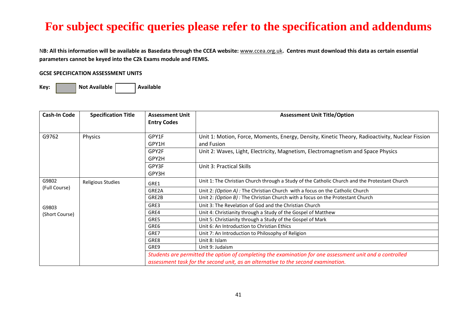N**B: All this information will be available as Basedata through the CCEA website:** [www.ccea.org.uk](http://www.ccea.org.uk/)**. Centres must download this data as certain essential parameters cannot be keyed into the C2k Exams module and FEMIS.**

#### **GCSE SPECIFICATION ASSESSMENT UNITS**

| Cash-In Code   | <b>Specification Title</b> | <b>Assessment Unit</b><br><b>Entry Codes</b> | <b>Assessment Unit Title/Option</b>                                                                      |  |
|----------------|----------------------------|----------------------------------------------|----------------------------------------------------------------------------------------------------------|--|
|                |                            |                                              |                                                                                                          |  |
| G9762          | Physics                    | GPY1F                                        | Unit 1: Motion, Force, Moments, Energy, Density, Kinetic Theory, Radioactivity, Nuclear Fission          |  |
|                |                            | GPY1H                                        | and Fusion                                                                                               |  |
|                |                            | GPY2F                                        | Unit 2: Waves, Light, Electricity, Magnetism, Electromagnetism and Space Physics                         |  |
|                |                            | GPY2H                                        |                                                                                                          |  |
|                |                            | GPY3F                                        | Unit 3: Practical Skills                                                                                 |  |
|                |                            | GPY3H                                        |                                                                                                          |  |
| G9802          | Religious Studies          | GRE1                                         | Unit 1: The Christian Church through a Study of the Catholic Church and the Protestant Church            |  |
| (Full Course)  |                            | GRE2A                                        | Unit 2: (Option A): The Christian Church with a focus on the Catholic Church                             |  |
|                |                            | GRE2B                                        | Unit 2: (Option B) : The Christian Church with a focus on the Protestant Church                          |  |
| G9803          |                            | GRE3                                         | Unit 3: The Revelation of God and the Christian Church                                                   |  |
| (Short Course) |                            | GRE4                                         | Unit 4: Christianity through a Study of the Gospel of Matthew                                            |  |
|                |                            | GRE5                                         | Unit 5: Christianity through a Study of the Gospel of Mark                                               |  |
|                |                            | GRE6                                         | Unit 6: An Introduction to Christian Ethics                                                              |  |
|                |                            | GRE7                                         | Unit 7: An Introduction to Philosophy of Religion                                                        |  |
|                |                            | GRE8                                         | Unit 8: Islam                                                                                            |  |
|                |                            | GRE9                                         | Unit 9: Judaism                                                                                          |  |
|                |                            |                                              | Students are permitted the option of completing the examination for one assessment unit and a controlled |  |
|                |                            |                                              | assessment task for the second unit, as an alternative to the second examination.                        |  |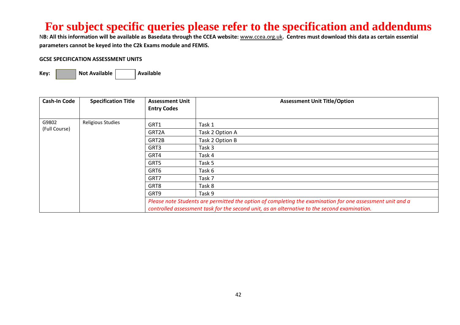N**B: All this information will be available as Basedata through the CCEA website:** [www.ccea.org.uk](http://www.ccea.org.uk/)**. Centres must download this data as certain essential parameters cannot be keyed into the C2k Exams module and FEMIS.**

#### **GCSE SPECIFICATION ASSESSMENT UNITS**

| <b>Cash-In Code</b> | <b>Specification Title</b> | <b>Assessment Unit</b> | <b>Assessment Unit Title/Option</b>                                                                                                                                                                       |
|---------------------|----------------------------|------------------------|-----------------------------------------------------------------------------------------------------------------------------------------------------------------------------------------------------------|
|                     |                            | <b>Entry Codes</b>     |                                                                                                                                                                                                           |
| G9802               | <b>Religious Studies</b>   | GRT1                   | Task 1                                                                                                                                                                                                    |
| (Full Course)       |                            | GRT2A                  | Task 2 Option A                                                                                                                                                                                           |
|                     |                            | GRT2B                  | Task 2 Option B                                                                                                                                                                                           |
|                     |                            | GRT3                   | Task 3                                                                                                                                                                                                    |
|                     |                            | GRT4                   | Task 4                                                                                                                                                                                                    |
|                     |                            | GRT5                   | Task 5                                                                                                                                                                                                    |
|                     |                            | GRT6                   | Task 6                                                                                                                                                                                                    |
|                     |                            | GRT7                   | Task 7                                                                                                                                                                                                    |
|                     |                            | GRT8                   | Task 8                                                                                                                                                                                                    |
|                     |                            | GRT9                   | Task 9                                                                                                                                                                                                    |
|                     |                            |                        | Please note Students are permitted the option of completing the examination for one assessment unit and a<br>controlled assessment task for the second unit, as an alternative to the second examination. |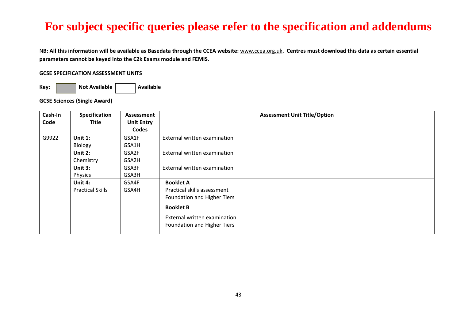N**B: All this information will be available as Basedata through the CCEA website:** [www.ccea.org.uk](http://www.ccea.org.uk/)**. Centres must download this data as certain essential parameters cannot be keyed into the C2k Exams module and FEMIS.**

#### **GCSE SPECIFICATION ASSESSMENT UNITS**

**Key: Not Available Available** 

**GCSE Sciences (Single Award)** 

| Cash-In | <b>Specification</b>    | Assessment        | <b>Assessment Unit Title/Option</b> |  |  |
|---------|-------------------------|-------------------|-------------------------------------|--|--|
| Code    | <b>Title</b>            | <b>Unit Entry</b> |                                     |  |  |
|         |                         | Codes             |                                     |  |  |
| G9922   | Unit $1$ :              | GSA1F             | External written examination        |  |  |
|         | Biology                 | GSA1H             |                                     |  |  |
|         | Unit 2:                 | GSA2F             | External written examination        |  |  |
|         | Chemistry               | GSA2H             |                                     |  |  |
|         | Unit 3:                 | GSA3F             | External written examination        |  |  |
|         | Physics                 | GSA3H             |                                     |  |  |
|         | Unit 4:                 | GSA4F             | <b>Booklet A</b>                    |  |  |
|         | <b>Practical Skills</b> | GSA4H             | Practical skills assessment         |  |  |
|         |                         |                   | Foundation and Higher Tiers         |  |  |
|         |                         |                   | <b>Booklet B</b>                    |  |  |
|         |                         |                   | External written examination        |  |  |
|         |                         |                   | Foundation and Higher Tiers         |  |  |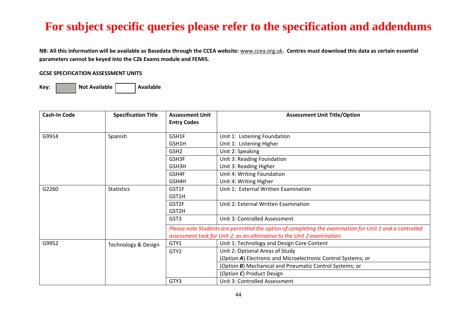**NB: All this information will be available as Basedata through the CCEA website:** [www.ccea.org.uk](http://www.ccea.org.uk/)**. Centres must download this data as certain essential parameters cannot be keyed into the C2k Exams module and FEMIS.**

#### **GCSE SPECIFICATION ASSESSMENT UNITS**

| <b>Cash-In Code</b> | <b>Specification Title</b> | <b>Assessment Unit</b><br><b>Entry Codes</b>                                                            | <b>Assessment Unit Title/Option</b>                           |  |
|---------------------|----------------------------|---------------------------------------------------------------------------------------------------------|---------------------------------------------------------------|--|
| G9914               | Spanish                    | GSH1F                                                                                                   | Unit 1: Listening Foundation                                  |  |
|                     |                            | GSH1H                                                                                                   | Unit 1: Listening Higher                                      |  |
|                     |                            | GSH <sub>2</sub>                                                                                        | Unit 2: Speaking                                              |  |
|                     |                            | GSH3F                                                                                                   | Unit 3: Reading Foundation                                    |  |
|                     |                            | GSH3H                                                                                                   | Unit 3: Reading Higher                                        |  |
|                     |                            | GSH4F                                                                                                   | Unit 4: Writing Foundation                                    |  |
|                     |                            | GSH4H                                                                                                   | Unit 4: Writing Higher                                        |  |
| G2260               | <b>Statistics</b>          | GST1F                                                                                                   | Unit 1: External Written Examination                          |  |
|                     |                            | GST1H                                                                                                   |                                                               |  |
|                     |                            | GST2F                                                                                                   | Unit 2: External Written Examination                          |  |
|                     |                            | GST2H                                                                                                   |                                                               |  |
|                     |                            | GST3                                                                                                    | Unit 3: Controlled Assessment                                 |  |
|                     |                            | Please note Students are permitted the option of completing the examination for Unit 1 and a controlled |                                                               |  |
|                     |                            | assessment task for Unit 2, as an alternative to the Unit 2 examination.                                |                                                               |  |
| G9952               | Technology & Design        | GTY1                                                                                                    | Unit 1: Technology and Design Core Content                    |  |
|                     |                            | GTY <sub>2</sub>                                                                                        | Unit 2: Optional Areas of Study                               |  |
|                     |                            |                                                                                                         | (Option A) Electronic and Microelectronic Control Systems; or |  |
|                     |                            |                                                                                                         | (Option B) Mechanical and Pneumatic Control Systems; or       |  |
|                     |                            |                                                                                                         | (Option C) Product Design                                     |  |
|                     |                            | GTY3                                                                                                    | Unit 3: Controlled Assessment                                 |  |